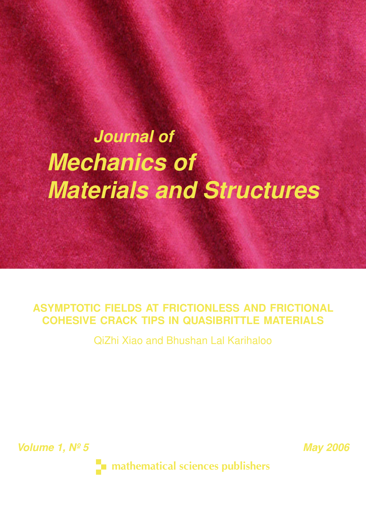# *Journal of Mechanics of Materials and Structures*

## **ASYMPTOTIC FIELDS AT FRICTIONLESS AND FRICTIONAL COHESIVE CRACK TIPS IN QUASIBRITTLE MATERIALS**

QiZhi Xiao and Bhushan Lal Karihaloo

*Volume 1, Nº 5* May 2006

 $\blacksquare$  mathematical sciences publishers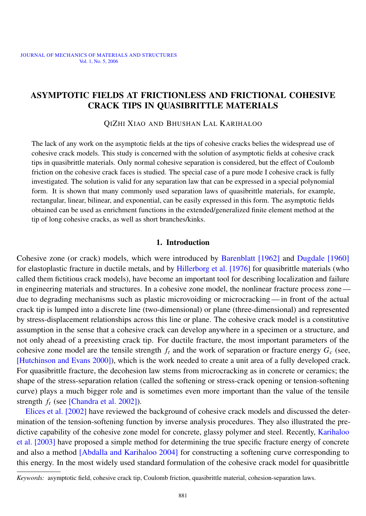#### <span id="page-1-0"></span>ASYMPTOTIC FIELDS AT FRICTIONLESS AND FRICTIONAL COHESIVE CRACK TIPS IN QUASIBRITTLE MATERIALS

QIZHI XIAO AND BHUSHAN LAL KARIHALOO

The lack of any work on the asymptotic fields at the tips of cohesive cracks belies the widespread use of cohesive crack models. This study is concerned with the solution of asymptotic fields at cohesive crack tips in quasibrittle materials. Only normal cohesive separation is considered, but the effect of Coulomb friction on the cohesive crack faces is studied. The special case of a pure mode I cohesive crack is fully investigated. The solution is valid for any separation law that can be expressed in a special polynomial form. It is shown that many commonly used separation laws of quasibrittle materials, for example, rectangular, linear, bilinear, and exponential, can be easily expressed in this form. The asymptotic fields obtained can be used as enrichment functions in the extended/generalized finite element method at the tip of long cohesive cracks, as well as short branches/kinks.

#### 1. Introduction

Cohesive zone (or crack) models, which were introduced by [Barenblatt](#page-28-0) [1962] and [Dugdale](#page-28-1) [1960] for elastoplastic fracture in ductile metals, and by [Hillerborg et al.](#page-28-2) [1976] for quasibrittle materials (who called them fictitious crack models), have become an important tool for describing localization and failure in engineering materials and structures. In a cohesive zone model, the nonlinear fracture process zone due to degrading mechanisms such as plastic microvoiding or microcracking— in front of the actual crack tip is lumped into a discrete line (two-dimensional) or plane (three-dimensional) and represented by stress-displacement relationships across this line or plane. The cohesive crack model is a constitutive assumption in the sense that a cohesive crack can develop anywhere in a specimen or a structure, and not only ahead of a preexisting crack tip. For ductile fracture, the most important parameters of the cohesive zone model are the tensile strength  $f_t$  and the work of separation or fracture energy  $G_c$  (see, [\[Hutchinson and Evans 2000\]](#page-28-3)), which is the work needed to create a unit area of a fully developed crack. For quasibrittle fracture, the decohesion law stems from microcracking as in concrete or ceramics; the shape of the stress-separation relation (called the softening or stress-crack opening or tension-softening curve) plays a much bigger role and is sometimes even more important than the value of the tensile strength *f<sup>t</sup>* (see [\[Chandra et al. 2002\]](#page-28-4)).

[Elices et al.](#page-28-5) [2002] have reviewed the background of cohesive crack models and discussed the determination of the tension-softening function by inverse analysis procedures. They also illustrated the pre-dictive capability of the cohesive zone model for concrete, glassy polymer and steel. Recently, [Karihaloo](#page-28-6) et al. [\[2003\]](#page-28-6) have proposed a simple method for determining the true specific fracture energy of concrete and also a method [\[Abdalla and Karihaloo 2004\]](#page-27-0) for constructing a softening curve corresponding to this energy. In the most widely used standard formulation of the cohesive crack model for quasibrittle

*Keywords:* asymptotic field, cohesive crack tip, Coulomb friction, quasibrittle material, cohesion-separation laws.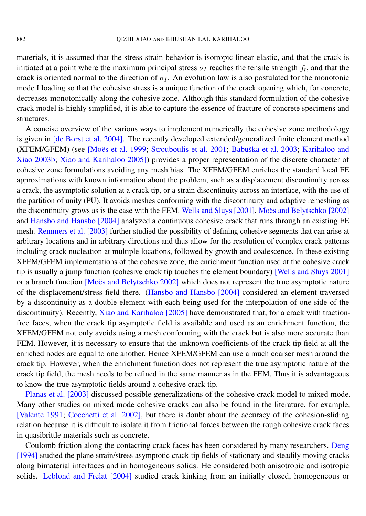materials, it is assumed that the stress-strain behavior is isotropic linear elastic, and that the crack is initiated at a point where the maximum principal stress  $\sigma_I$  reaches the tensile strength  $f_t$ , and that the crack is oriented normal to the direction of  $\sigma_I$ . An evolution law is also postulated for the monotonic mode I loading so that the cohesive stress is a unique function of the crack opening which, for concrete, decreases monotonically along the cohesive zone. Although this standard formulation of the cohesive crack model is highly simplified, it is able to capture the essence of fracture of concrete specimens and structures.

A concise overview of the various ways to implement numerically the cohesive zone methodology is given in [\[de Borst et al. 2004\]](#page-28-7). The recently developed extended/generalized finite element method (XFEM/GFEM) (see [Moës et al. 1999; [Strouboulis et al. 2001;](#page-29-1) Babuška et al. 2003; [Karihaloo and](#page-28-9) [Xiao 2003b;](#page-28-9) [Xiao and Karihaloo 2005\]](#page-29-2)) provides a proper representation of the discrete character of cohesive zone formulations avoiding any mesh bias. The XFEM/GFEM enriches the standard local FE approximations with known information about the problem, such as a displacement discontinuity across a crack, the asymptotic solution at a crack tip, or a strain discontinuity across an interface, with the use of the partition of unity (PU). It avoids meshes conforming with the discontinuity and adaptive remeshing as the discontinuity grows as is the case with the FEM. [Wells and Sluys](#page-29-3) [2001], Moës and Belytschko [2002] and [Hansbo and Hansbo](#page-28-10) [2004] analyzed a continuous cohesive crack that runs through an existing FE mesh. [Remmers et al.](#page-29-5) [2003] further studied the possibility of defining cohesive segments that can arise at arbitrary locations and in arbitrary directions and thus allow for the resolution of complex crack patterns including crack nucleation at multiple locations, followed by growth and coalescence. In these existing XFEM/GFEM implementations of the cohesive zone, the enrichment function used at the cohesive crack tip is usually a jump function (cohesive crack tip touches the element boundary) [\[Wells and Sluys 2001\]](#page-29-3) or a branch function [Moës and Belytschko 2002] which does not represent the true asymptotic nature of the displacement/stress field there. [\(Hansbo and Hansbo](#page-28-10) [2004] considered an element traversed by a discontinuity as a double element with each being used for the interpolation of one side of the discontinuity). Recently, [Xiao and Karihaloo](#page-29-2) [2005] have demonstrated that, for a crack with tractionfree faces, when the crack tip asymptotic field is available and used as an enrichment function, the XFEM/GFEM not only avoids using a mesh conforming with the crack but is also more accurate than FEM. However, it is necessary to ensure that the unknown coefficients of the crack tip field at all the enriched nodes are equal to one another. Hence XFEM/GFEM can use a much coarser mesh around the crack tip. However, when the enrichment function does not represent the true asymptotic nature of the crack tip field, the mesh needs to be refined in the same manner as in the FEM. Thus it is advantageous to know the true asymptotic fields around a cohesive crack tip.

[Planas et al.](#page-29-6) [2003] discussed possible generalizations of the cohesive crack model to mixed mode. Many other studies on mixed mode cohesive cracks can also be found in the literature, for example, [\[Valente 1991;](#page-29-7) [Cocchetti et al. 2002\]](#page-28-11), but there is doubt about the accuracy of the cohesion-sliding relation because it is difficult to isolate it from frictional forces between the rough cohesive crack faces in quasibrittle materials such as concrete.

Coulomb friction along the contacting crack faces has been considered by many researchers. [Deng](#page-28-12) [\[1994\]](#page-28-12) studied the plane strain/stress asymptotic crack tip fields of stationary and steadily moving cracks along bimaterial interfaces and in homogeneous solids. He considered both anisotropic and isotropic solids. [Leblond and Frelat](#page-28-13) [2004] studied crack kinking from an initially closed, homogeneous or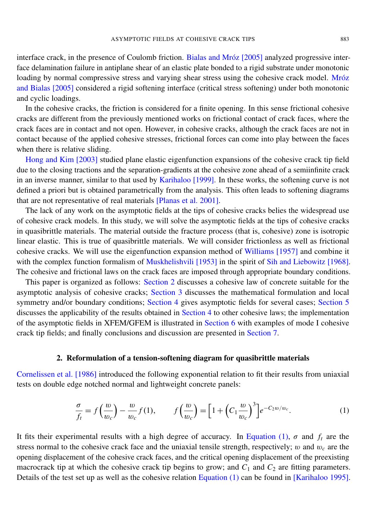interface crack, in the presence of Coulomb friction. Bialas and Mróz [2005] analyzed progressive interface delamination failure in antiplane shear of an elastic plate bonded to a rigid substrate under monotonic loading by normal compressive stress and varying shear stress using the cohesive crack model. Mróz [and Bialas](#page-29-8) [2005] considered a rigid softening interface (critical stress softening) under both monotonic and cyclic loadings.

In the cohesive cracks, the friction is considered for a finite opening. In this sense frictional cohesive cracks are different from the previously mentioned works on frictional contact of crack faces, where the crack faces are in contact and not open. However, in cohesive cracks, although the crack faces are not in contact because of the applied cohesive stresses, frictional forces can come into play between the faces when there is relative sliding.

[Hong and Kim](#page-28-15) [2003] studied plane elastic eigenfunction expansions of the cohesive crack tip field due to the closing tractions and the separation-gradients at the cohesive zone ahead of a semiinfinite crack in an inverse manner, similar to that used by [Karihaloo](#page-28-16) [1999]. In these works, the softening curve is not defined a priori but is obtained parametrically from the analysis. This often leads to softening diagrams that are not representative of real materials [\[Planas et al. 2001\]](#page-29-9).

The lack of any work on the asymptotic fields at the tips of cohesive cracks belies the widespread use of cohesive crack models. In this study, we will solve the asymptotic fields at the tips of cohesive cracks in quasibrittle materials. The material outside the fracture process (that is, cohesive) zone is isotropic linear elastic. This is true of quasibrittle materials. We will consider frictionless as well as frictional cohesive cracks. We will use the eigenfunction expansion method of [Williams](#page-29-10) [1957] and combine it with the complex function formalism of [Muskhelishvili](#page-29-11) [1953] in the spirit of [Sih and Liebowitz](#page-29-12) [1968]. The cohesive and frictional laws on the crack faces are imposed through appropriate boundary conditions.

This paper is organized as follows: [Section 2](#page-3-0) discusses a cohesive law of concrete suitable for the asymptotic analysis of cohesive cracks; [Section 3](#page-5-0) discusses the mathematical formulation and local symmetry and/or boundary conditions; [Section 4](#page-7-0) gives asymptotic fields for several cases; [Section 5](#page-14-0) discusses the applicability of the results obtained in [Section 4](#page-7-0) to other cohesive laws; the implementation of the asymptotic fields in XFEM/GFEM is illustrated in [Section 6](#page-18-0) with examples of mode I cohesive crack tip fields; and finally conclusions and discussion are presented in [Section 7.](#page-26-0)

#### 2. Reformulation of a tension-softening diagram for quasibrittle materials

<span id="page-3-0"></span>[Cornelissen et al.](#page-28-17) [1986] introduced the following exponential relation to fit their results from uniaxial tests on double edge notched normal and lightweight concrete panels:

<span id="page-3-1"></span>
$$
\frac{\sigma}{f_t} = f\left(\frac{w}{w_c}\right) - \frac{w}{w_c}f(1), \qquad f\left(\frac{w}{w_c}\right) = \left[1 + \left(C_1 \frac{w}{w_c}\right)^3\right]e^{-C_2w/w_c}.\tag{1}
$$

It fits their experimental results with a high degree of accuracy. In [Equation](#page-3-1) (1),  $\sigma$  and  $f_t$  are the stress normal to the cohesive crack face and the uniaxial tensile strength, respectively;  $w$  and  $w_c$  are the opening displacement of the cohesive crack faces, and the critical opening displacement of the preexisting macrocrack tip at which the cohesive crack tip begins to grow; and  $C_1$  and  $C_2$  are fitting parameters. Details of the test set up as well as the cohesive relation [Equation](#page-3-1) (1) can be found in [\[Karihaloo 1995\]](#page-28-18).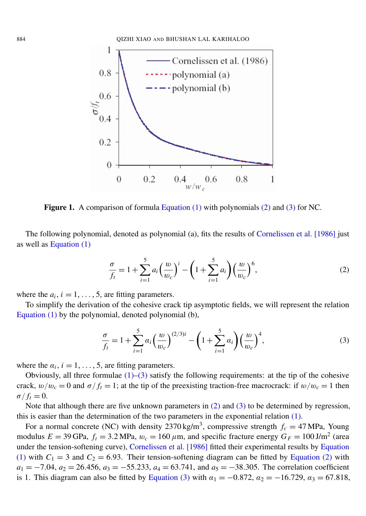<span id="page-4-2"></span>

Figure 1. A comparison of formula [Equation \(1\)](#page-3-1) with polynomials [\(2\)](#page-4-0) and [\(3\)](#page-4-1) for NC.

The following polynomial, denoted as polynomial (a), fits the results of [Cornelissen et al.](#page-28-17) [1986] just as well as [Equation \(1\)](#page-3-1)

<span id="page-4-0"></span>
$$
\frac{\sigma}{f_t} = 1 + \sum_{i=1}^{5} a_i \left(\frac{w}{w_c}\right)^i - \left(1 + \sum_{i=1}^{5} a_i\right) \left(\frac{w}{w_c}\right)^6,\tag{2}
$$

where the  $a_i$ ,  $i = 1, \ldots, 5$ , are fitting parameters.

To simplify the derivation of the cohesive crack tip asymptotic fields, we will represent the relation [Equation \(1\)](#page-3-1) by the polynomial, denoted polynomial (b),

<span id="page-4-1"></span>
$$
\frac{\sigma}{f_t} = 1 + \sum_{i=1}^{5} \alpha_i \left(\frac{w}{w_c}\right)^{(2/3)i} - \left(1 + \sum_{i=1}^{5} \alpha_i\right) \left(\frac{w}{w_c}\right)^4,\tag{3}
$$

where the  $\alpha_i$ ,  $i = 1, \ldots, 5$ , are fitting parameters.

Obviously, all three formulae  $(1)$ – $(3)$  satisfy the following requirements: at the tip of the cohesive crack,  $w/w_c = 0$  and  $\sigma/f_t = 1$ ; at the tip of the preexisting traction-free macrocrack: if  $w/w_c = 1$  then  $\sigma / f_t = 0.$ 

Note that although there are five unknown parameters in  $(2)$  and  $(3)$  to be determined by regression, this is easier than the determination of the two parameters in the exponential relation [\(1\).](#page-3-1)

For a normal concrete (NC) with density  $2370 \text{ kg/m}^3$ , compressive strength  $f_c = 47 \text{ MPa}$ , Young modulus  $E = 39$  GPa,  $f_t = 3.2$  MPa,  $w_c = 160 \,\mu$ m, and specific fracture energy  $G_F = 100$  J/m<sup>2</sup> (area under the tension-softening curve), [Cornelissen et al.](#page-28-17) [1986] fitted their experimental results by [Equation](#page-3-1) [\(1\)](#page-3-1) with  $C_1 = 3$  and  $C_2 = 6.93$ . Their tension-softening diagram can be fitted by [Equation](#page-4-0) (2) with  $a_1 = -7.04$ ,  $a_2 = 26.456$ ,  $a_3 = -55.233$ ,  $a_4 = 63.741$ , and  $a_5 = -38.305$ . The correlation coefficient is 1. This diagram can also be fitted by [Equation](#page-4-1) (3) with  $\alpha_1 = -0.872$ ,  $\alpha_2 = -16.729$ ,  $\alpha_3 = 67.818$ ,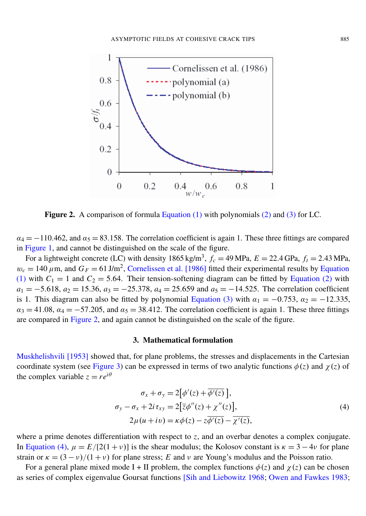<span id="page-5-1"></span>

Figure 2. A comparison of formula [Equation \(1\)](#page-3-1) with polynomials [\(2\)](#page-4-0) and [\(3\)](#page-4-1) for LC.

 $\alpha_4 = -110.462$ , and  $\alpha_5 = 83.158$ . The correlation coefficient is again 1. These three fittings are compared in [Figure 1,](#page-4-2) and cannot be distinguished on the scale of the figure.

For a lightweight concrete (LC) with density 1865 kg/m<sup>3</sup>,  $f_c = 49 \text{ MPa}$ ,  $E = 22.4 \text{ GPa}$ ,  $f_t = 2.43 \text{ MPa}$ ,  $w_c = 140 \,\mu$ m, and  $G_F = 61 \,\text{J/m}^2$ , [Cornelissen et al.](#page-28-17) [1986] fitted their experimental results by [Equation](#page-3-1) [\(1\)](#page-3-1) with  $C_1 = 1$  and  $C_2 = 5.64$ . Their tension-softening diagram can be fitted by [Equation](#page-4-0) (2) with  $a_1 = -5.618$ ,  $a_2 = 15.36$ ,  $a_3 = -25.378$ ,  $a_4 = 25.659$  and  $a_5 = -14.525$ . The correlation coefficient is 1. This diagram can also be fitted by polynomial [Equation](#page-4-1) (3) with  $\alpha_1 = -0.753$ ,  $\alpha_2 = -12.335$ ,  $\alpha_3 = 41.08$ ,  $\alpha_4 = -57.205$ , and  $\alpha_5 = 38.412$ . The correlation coefficient is again 1. These three fittings are compared in [Figure 2,](#page-5-1) and again cannot be distinguished on the scale of the figure.

#### 3. Mathematical formulation

<span id="page-5-0"></span>[Muskhelishvili](#page-29-11) [1953] showed that, for plane problems, the stresses and displacements in the Cartesian coordinate system (see [Figure 3\)](#page-6-0) can be expressed in terms of two analytic functions  $\phi(z)$  and  $\chi(z)$  of the complex variable  $z = re^{i\theta}$ 

<span id="page-5-2"></span>
$$
\sigma_x + \sigma_y = 2[\phi'(z) + \overline{\phi'(z)}],
$$
  
\n
$$
\sigma_y - \sigma_x + 2i\tau_{xy} = 2[\overline{z}\phi''(z) + \chi''(z)],
$$
  
\n
$$
2\mu(u + iv) = \kappa \phi(z) - z\overline{\phi'(z)} - \overline{\chi'(z)},
$$
\n(4)

where a prime denotes differentiation with respect to *z*, and an overbar denotes a complex conjugate. In [Equation](#page-5-2) (4),  $\mu = E/[2(1 + v)]$  is the shear modulus; the Kolosov constant is  $\kappa = 3 - 4v$  for plane strain or  $\kappa = (3 - v)/(1 + v)$  for plane stress; *E* and *v* are Young's modulus and the Poisson ratio.

For a general plane mixed mode I + II problem, the complex functions  $\phi(z)$  and  $\chi(z)$  can be chosen as series of complex eigenvalue Goursat functions [\[Sih and Liebowitz 1968;](#page-29-12) [Owen and Fawkes 1983;](#page-29-13)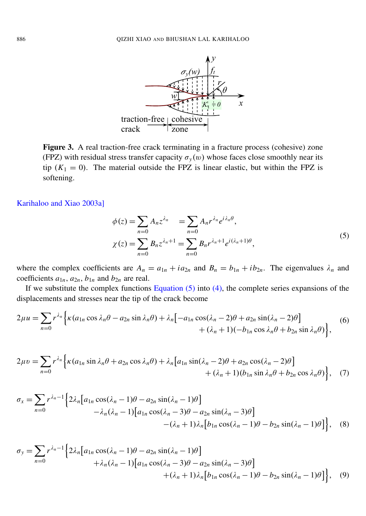

<span id="page-6-0"></span>Figure 3. A real traction-free crack terminating in a fracture process (cohesive) zone (FPZ) with residual stress transfer capacity  $\sigma_y(w)$  whose faces close smoothly near its tip  $(K_1 = 0)$ . The material outside the FPZ is linear elastic, but within the FPZ is softening.

[Karihaloo and Xiao 2003a\]](#page-28-19)

<span id="page-6-2"></span><span id="page-6-1"></span>
$$
\phi(z) = \sum_{n=0} A_n z^{\lambda_n} = \sum_{n=0} A_n r^{\lambda_n} e^{i\lambda_n \theta},
$$
  
\n
$$
\chi(z) = \sum_{n=0} B_n z^{\lambda_n+1} = \sum_{n=0} B_n r^{\lambda_n+1} e^{i(\lambda_n+1)\theta},
$$
\n(5)

where the complex coefficients are  $A_n = a_{1n} + ia_{2n}$  and  $B_n = b_{1n} + ib_{2n}$ . The eigenvalues  $\lambda_n$  and coefficients  $a_{1n}$ ,  $a_{2n}$ ,  $b_{1n}$  and  $b_{2n}$  are real.

If we substitute the complex functions [Equation](#page-6-1)  $(5)$  into  $(4)$ , the complete series expansions of the displacements and stresses near the tip of the crack become

$$
2\mu u = \sum_{n=0} r^{\lambda_n} \Big\{ \kappa (a_{1n} \cos \lambda_n \theta - a_{2n} \sin \lambda_n \theta) + \lambda_n \Big[ -a_{1n} \cos (\lambda_n - 2) \theta + a_{2n} \sin (\lambda_n - 2) \theta \Big] + (\lambda_n + 1) (-b_{1n} \cos \lambda_n \theta + b_{2n} \sin \lambda_n \theta) \Big\},
$$
(6)

<span id="page-6-5"></span>
$$
2\mu v = \sum_{n=0} r^{\lambda_n} \Big\{ \kappa (a_{1n} \sin \lambda_n \theta + a_{2n} \cos \lambda_n \theta) + \lambda_n \Big[ a_{1n} \sin(\lambda_n - 2)\theta + a_{2n} \cos(\lambda_n - 2)\theta \Big] + (\lambda_n + 1) (b_{1n} \sin \lambda_n \theta + b_{2n} \cos \lambda_n \theta) \Big\}, \quad (7)
$$

<span id="page-6-4"></span>
$$
\sigma_x = \sum_{n=0} r^{\lambda_n - 1} \left\{ 2\lambda_n \left[ a_{1n} \cos(\lambda_n - 1)\theta - a_{2n} \sin(\lambda_n - 1)\theta \right] - \lambda_n (\lambda_n - 1) \left[ a_{1n} \cos(\lambda_n - 3)\theta - a_{2n} \sin(\lambda_n - 3)\theta \right] - (\lambda_n + 1) \lambda_n \left[ b_{1n} \cos(\lambda_n - 1)\theta - b_{2n} \sin(\lambda_n - 1)\theta \right] \right\}, \quad (8)
$$

<span id="page-6-3"></span>
$$
\sigma_y = \sum_{n=0} r^{\lambda_n - 1} \left\{ 2\lambda_n \left[ a_{1n} \cos(\lambda_n - 1)\theta - a_{2n} \sin(\lambda_n - 1)\theta \right] + \lambda_n (\lambda_n - 1) \left[ a_{1n} \cos(\lambda_n - 3)\theta - a_{2n} \sin(\lambda_n - 3)\theta \right] + (\lambda_n + 1) \lambda_n \left[ b_{1n} \cos(\lambda_n - 1)\theta - b_{2n} \sin(\lambda_n - 1)\theta \right] \right\}, \quad (9)
$$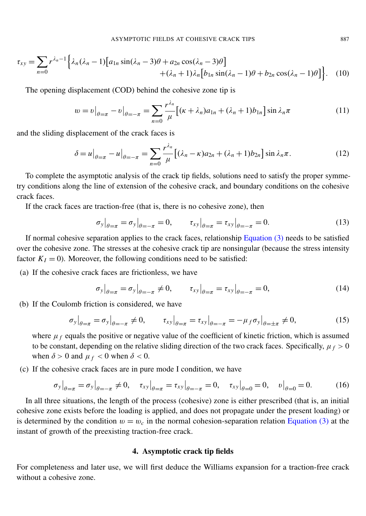<span id="page-7-2"></span>
$$
\tau_{xy} = \sum_{n=0} r^{\lambda_n - 1} \left\{ \lambda_n (\lambda_n - 1) \left[ a_{1n} \sin(\lambda_n - 3)\theta + a_{2n} \cos(\lambda_n - 3)\theta \right] + (\lambda_n + 1) \lambda_n \left[ b_{1n} \sin(\lambda_n - 1)\theta + b_{2n} \cos(\lambda_n - 1)\theta \right] \right\}.
$$
 (10)

The opening displacement (COD) behind the cohesive zone tip is

$$
w = v\big|_{\theta=\pi} - v\big|_{\theta=-\pi} = \sum_{n=0}^{\infty} \frac{r^{\lambda_n}}{\mu} \big[ (\kappa + \lambda_n) a_{1n} + (\lambda_n + 1) b_{1n} \big] \sin \lambda_n \pi \tag{11}
$$

and the sliding displacement of the crack faces is

$$
\delta = u\big|_{\theta = \pi} - u\big|_{\theta = -\pi} = \sum_{n=0}^{\infty} \frac{r^{\lambda_n}}{\mu} \big[ (\lambda_n - \kappa) a_{2n} + (\lambda_n + 1) b_{2n} \big] \sin \lambda_n \pi. \tag{12}
$$

To complete the asymptotic analysis of the crack tip fields, solutions need to satisfy the proper symmetry conditions along the line of extension of the cohesive crack, and boundary conditions on the cohesive crack faces.

If the crack faces are traction-free (that is, there is no cohesive zone), then

<span id="page-7-1"></span>
$$
\sigma_y|_{\theta=\pi} = \sigma_y|_{\theta=-\pi} = 0, \qquad \tau_{xy}|_{\theta=\pi} = \tau_{xy}|_{\theta=-\pi} = 0.
$$
\n(13)

If normal cohesive separation applies to the crack faces, relationship [Equation](#page-4-1) (3) needs to be satisfied over the cohesive zone. The stresses at the cohesive crack tip are nonsingular (because the stress intensity factor  $K_I = 0$ ). Moreover, the following conditions need to be satisfied:

(a) If the cohesive crack faces are frictionless, we have

<span id="page-7-5"></span><span id="page-7-3"></span>
$$
\sigma_{y}|_{\theta=\pi} = \sigma_{y}|_{\theta=-\pi} \neq 0, \qquad \tau_{xy}|_{\theta=\pi} = \tau_{xy}|_{\theta=-\pi} = 0,
$$
\n(14)

(b) If the Coulomb friction is considered, we have

$$
\sigma_{y}|_{\theta=\pi} = \sigma_{y}|_{\theta=-\pi} \neq 0, \qquad \tau_{xy}|_{\theta=\pi} = \tau_{xy}|_{\theta=-\pi} = -\mu_{f}\sigma_{y}|_{\theta=\pm\pi} \neq 0,
$$
\n(15)

where  $\mu_f$  equals the positive or negative value of the coefficient of kinetic friction, which is assumed to be constant, depending on the relative sliding direction of the two crack faces. Specifically,  $\mu_f > 0$ when  $\delta > 0$  and  $\mu_f < 0$  when  $\delta < 0$ .

(c) If the cohesive crack faces are in pure mode I condition, we have

$$
\sigma_{y}|_{\theta=\pi} = \sigma_{y}|_{\theta=-\pi} \neq 0, \quad \tau_{xy}|_{\theta=\pi} = \tau_{xy}|_{\theta=-\pi} = 0, \quad \tau_{xy}|_{\theta=0} = 0, \quad v|_{\theta=0} = 0. \tag{16}
$$

In all three situations, the length of the process (cohesive) zone is either prescribed (that is, an initial cohesive zone exists before the loading is applied, and does not propagate under the present loading) or is determined by the condition  $w = w_c$  in the normal cohesion-separation relation [Equation](#page-4-1) (3) at the instant of growth of the preexisting traction-free crack.

#### <span id="page-7-4"></span>4. Asymptotic crack tip fields

<span id="page-7-0"></span>For completeness and later use, we will first deduce the Williams expansion for a traction-free crack without a cohesive zone.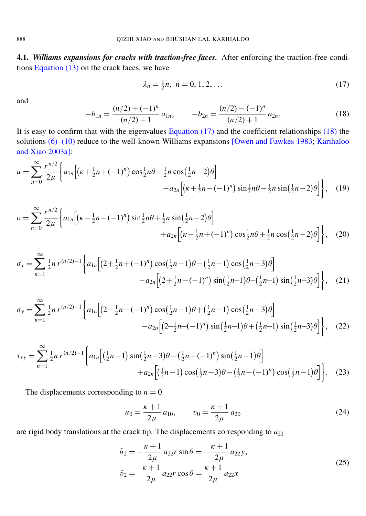<span id="page-8-4"></span>4.1. *Williams expansions for cracks with traction-free faces.* After enforcing the traction-free conditions [Equation \(13\)](#page-7-1) on the crack faces, we have

<span id="page-8-0"></span>
$$
\lambda_n = \frac{1}{2}n, \ n = 0, 1, 2, \dots \tag{17}
$$

<span id="page-8-1"></span>and

 $\sim$ 

X∞

<span id="page-8-2"></span>
$$
-b_{1n} = \frac{(n/2) + (-1)^n}{(n/2) + 1} a_{1n}, \qquad -b_{2n} = \frac{(n/2) - (-1)^n}{(n/2) + 1} a_{2n}.
$$
 (18)

It is easy to confirm that with the eigenvalues [Equation](#page-8-0)  $(17)$  and the coefficient relationships  $(18)$  the solutions [\(6\)–](#page-6-2)[\(10\)](#page-7-2) reduce to the well-known Williams expansions [\[Owen and Fawkes 1983;](#page-29-13) [Karihaloo](#page-28-19) [and Xiao 2003a\]](#page-28-19):

$$
u = \sum_{n=0}^{\infty} \frac{r^{n/2}}{2\mu} \left\{ a_{1n} \left[ \left( \kappa + \frac{1}{2}n + (-1)^n \right) \cos \frac{1}{2}n\theta - \frac{1}{2}n \cos \left( \frac{1}{2}n - 2 \right) \theta \right] - a_{2n} \left[ \left( \kappa + \frac{1}{2}n - (-1)^n \right) \sin \frac{1}{2}n\theta - \frac{1}{2}n \sin \left( \frac{1}{2}n - 2 \right) \theta \right] \right\}, \quad (19)
$$

$$
v = \sum_{n=0}^{\infty} \frac{r^{n/2}}{2\mu} \left\{ a_{1n} \left[ \left( \kappa - \frac{1}{2}n - (-1)^n \right) \sin \frac{1}{2}n\theta + \frac{1}{2}n \sin \left( \frac{1}{2}n - 2 \right) \theta \right] + a_{2n} \left[ \left( \kappa - \frac{1}{2}n + (-1)^n \right) \cos \frac{1}{2}n\theta + \frac{1}{2}n \cos \left( \frac{1}{2}n - 2 \right) \theta \right] \right\}, \quad (20)
$$

$$
\sigma_x = \sum_{n=1}^{\infty} \frac{1}{2} n r^{(n/2)-1} \left\{ a_{1n} \left[ \left( 2 + \frac{1}{2} n + (-1)^n \right) \cos\left( \frac{1}{2} n - 1 \right) \theta - \left( \frac{1}{2} n - 1 \right) \cos\left( \frac{1}{2} n - 3 \right) \theta \right] - a_{2n} \left[ \left( 2 + \frac{1}{2} n - (-1)^n \right) \sin\left( \frac{1}{2} n - 1 \right) \theta - \left( \frac{1}{2} n - 1 \right) \sin\left( \frac{1}{2} n - 3 \right) \theta \right] \right\}, \quad (21)
$$

$$
\sigma_y = \sum_{n=1}^{\infty} \frac{1}{2} n r^{(n/2)-1} \left\{ a_{1n} \left[ \left( 2 - \frac{1}{2} n - (-1)^n \right) \cos\left(\frac{1}{2} n - 1\right) \theta + \left(\frac{1}{2} n - 1\right) \cos\left(\frac{1}{2} n - 3\right) \theta \right] - a_{2n} \left[ \left( 2 - \frac{1}{2} n + (-1)^n \right) \sin\left(\frac{1}{2} n - 1\right) \theta + \left(\frac{1}{2} n - 1\right) \sin\left(\frac{1}{2} n - 3\right) \theta \right] \right\}, \quad (22)
$$

<span id="page-8-3"></span>
$$
\tau_{xy} = \sum_{n=1}^{\infty} \frac{1}{2} n r^{(n/2)-1} \left\{ a_{1n} \left[ \left( \frac{1}{2} n - 1 \right) \sin \left( \frac{1}{2} n - 3 \right) \theta - \left( \frac{1}{2} n + (-1)^n \right) \sin \left( \frac{1}{2} n - 1 \right) \theta \right] + a_{2n} \left[ \left( \frac{1}{2} n - 1 \right) \cos \left( \frac{1}{2} n - 3 \right) \theta - \left( \frac{1}{2} n - (-1)^n \right) \cos \left( \frac{1}{2} n - 1 \right) \theta \right] \right\}.
$$
 (23)

The displacements corresponding to  $n = 0$ 

$$
u_0 = \frac{\kappa + 1}{2\mu} a_{10}, \qquad v_0 = \frac{\kappa + 1}{2\mu} a_{20}
$$
 (24)

are rigid body translations at the crack tip. The displacements corresponding to  $a_{22}$ 

$$
\hat{u}_2 = -\frac{\kappa + 1}{2\mu} a_{22} r \sin \theta = -\frac{\kappa + 1}{2\mu} a_{22} y,\n\hat{v}_2 = \frac{\kappa + 1}{2\mu} a_{22} r \cos \theta = \frac{\kappa + 1}{2\mu} a_{22} x
$$
\n(25)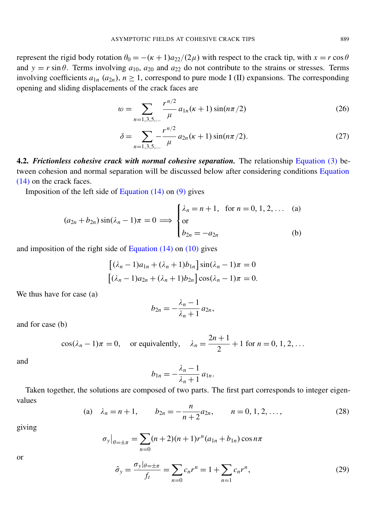represent the rigid body rotation  $\theta_0 = -(k+1)a_{22}/(2\mu)$  with respect to the crack tip, with  $x = r \cos \theta$ and  $y = r \sin \theta$ . Terms involving  $a_{10}$ ,  $a_{20}$  and  $a_{22}$  do not contribute to the strains or stresses. Terms involving coefficients  $a_{1n}$  ( $a_{2n}$ ),  $n \ge 1$ , correspond to pure mode I (II) expansions. The corresponding opening and sliding displacements of the crack faces are

$$
w = \sum_{n=1,3,5,\dots} \frac{r^{n/2}}{\mu} a_{1n}(\kappa + 1) \sin(n\pi/2)
$$
 (26)

$$
\delta = \sum_{n=1,3,5,\dots} \frac{r^{n/2}}{\mu} a_{2n}(\kappa + 1) \sin(n\pi/2). \tag{27}
$$

<span id="page-9-2"></span>4.2. *Frictionless cohesive crack with normal cohesive separation.* The relationship [Equation](#page-4-1) (3) between cohesion and normal separation will be discussed below after considering conditions [Equation](#page-7-3) [\(14\)](#page-7-3) on the crack faces.

Imposition of the left side of [Equation \(14\)](#page-7-3) on [\(9\)](#page-6-3) gives

$$
(a_{2n} + b_{2n}) \sin(\lambda_n - 1)\pi = 0 \implies \begin{cases} \lambda_n = n + 1, & \text{for } n = 0, 1, 2, ... \text{ (a)} \\ \text{or} \\ b_{2n} = -a_{2n} \end{cases}
$$
 (b)

and imposition of the right side of Equation  $(14)$  on  $(10)$  gives

$$
\left[ (\lambda_n - 1)a_{1n} + (\lambda_n + 1)b_{1n} \right] \sin(\lambda_n - 1)\pi = 0
$$

$$
\left[ (\lambda_n - 1)a_{2n} + (\lambda_n + 1)b_{2n} \right] \cos(\lambda_n - 1)\pi = 0.
$$

We thus have for case (a)

$$
b_{2n}=-\frac{\lambda_n-1}{\lambda_n+1}\,a_{2n},
$$

and for case (b)

$$
\cos(\lambda_n - 1)\pi = 0
$$
, or equivalently,  $\lambda_n = \frac{2n+1}{2} + 1$  for  $n = 0, 1, 2, ...$ 

and

$$
b_{1n} = -\frac{\lambda_n - 1}{\lambda_n + 1} a_{1n}.
$$

<span id="page-9-1"></span>Taken together, the solutions are composed of two parts. The first part corresponds to integer eigenvalues

(a) 
$$
\lambda_n = n + 1
$$
,  $b_{2n} = -\frac{n}{n+2}a_{2n}$ ,  $n = 0, 1, 2, ...,$  (28)

giving

$$
\sigma_y|_{\theta=\pm\pi} = \sum_{n=0}^{\infty} (n+2)(n+1)r^n(a_{1n}+b_{1n})\cos n\pi
$$

<span id="page-9-0"></span>or

$$
\hat{\sigma}_y = \frac{\sigma_y |_{\theta = \pm \pi}}{f_t} = \sum_{n=0} c_n r^n = 1 + \sum_{n=1} c_n r^n,
$$
\n(29)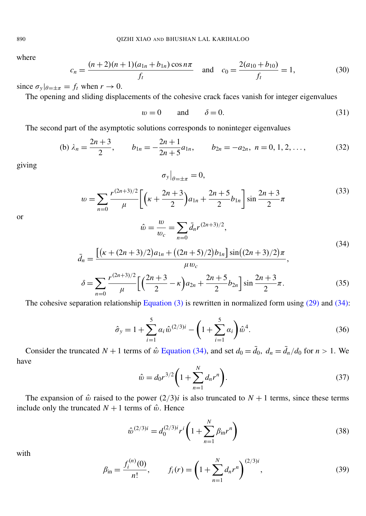<span id="page-10-8"></span>where

$$
c_n = \frac{(n+2)(n+1)(a_{1n} + b_{1n})\cos n\pi}{f_t} \quad \text{and} \quad c_0 = \frac{2(a_{10} + b_{10})}{f_t} = 1,\tag{30}
$$

since  $\sigma_y|_{\theta=\pm\pi} = f_t$  when  $r \to 0$ .

The opening and sliding displacements of the cohesive crack faces vanish for integer eigenvalues

$$
w = 0 \qquad \text{and} \qquad \delta = 0. \tag{31}
$$

The second part of the asymptotic solutions corresponds to noninteger eigenvalues

(b) 
$$
\lambda_n = \frac{2n+3}{2}
$$
,  $b_{1n} = -\frac{2n+1}{2n+5}a_{1n}$ ,  $b_{2n} = -a_{2n}$ ,  $n = 0, 1, 2, ...$ , (32)

<span id="page-10-6"></span>giving

<span id="page-10-7"></span>
$$
\sigma_{y}\big|_{\theta=\pm\pi}=0,
$$

$$
w = \sum_{n=0}^{\infty} \frac{r^{(2n+3)/2}}{\mu} \left[ \left( \kappa + \frac{2n+3}{2} \right) a_{1n} + \frac{2n+5}{2} b_{1n} \right] \sin \frac{2n+3}{2} \pi \tag{33}
$$

<span id="page-10-0"></span>or

$$
\hat{w} = \frac{w}{w_c} = \sum_{n=0}^{\infty} \bar{d}_n r^{(2n+3)/2},
$$
  

$$
(34)
$$

$$
(2n+3)/2)a_{1n} + ((2n+5)/2)b_{1n}] \sin((2n+3)/2)\pi
$$

$$
\bar{d}_n = \frac{\left[ \left( \kappa + (2n+3)/2 \right) a_{1n} + \left( (2n+5)/2 \right) b_{1n} \right] \sin \left( (2n+3)/2 \right) \pi}{\mu w_c},
$$

$$
\delta = \sum_{n=0}^{\infty} \frac{r^{(2n+3)/2}}{\mu} \left[ \left( \frac{2n+3}{2} - \kappa \right) a_{2n} + \frac{2n+5}{2} b_{2n} \right] \sin \frac{2n+3}{2} \pi. \tag{35}
$$

<span id="page-10-5"></span><span id="page-10-3"></span>The cohesive separation relationship [Equation](#page-4-1) (3) is rewritten in normalized form using [\(29\)](#page-9-0) and [\(34\):](#page-10-0)

$$
\hat{\sigma}_y = 1 + \sum_{i=1}^5 \alpha_i \hat{w}^{(2/3)i} - \left(1 + \sum_{i=1}^5 \alpha_i\right) \hat{w}^4.
$$
\n(36)

<span id="page-10-4"></span>Consider the truncated  $N + 1$  terms of  $\hat{w}$  [Equation](#page-10-0) (34), and set  $d_0 = \bar{d}_0$ ,  $d_n = \bar{d}_n/d_0$  for  $n > 1$ . We have

<span id="page-10-2"></span>
$$
\hat{w} = d_0 r^{3/2} \left( 1 + \sum_{n=1}^{N} d_n r^n \right). \tag{37}
$$

The expansion of  $\hat{w}$  raised to the power  $(2/3)i$  is also truncated to  $N+1$  terms, since these terms include only the truncated  $N + 1$  terms of  $\hat{w}$ . Hence

$$
\hat{w}^{(2/3)i} = d_0^{(2/3)i} r^i \left( 1 + \sum_{n=1}^N \beta_{\rm in} r^n \right)
$$
\n(38)

<span id="page-10-1"></span>with

$$
\beta_{\rm in} = \frac{f_i^{(n)}(0)}{n!}, \qquad f_i(r) = \left(1 + \sum_{n=1}^N d_n r^n\right)^{(2/3)i},\tag{39}
$$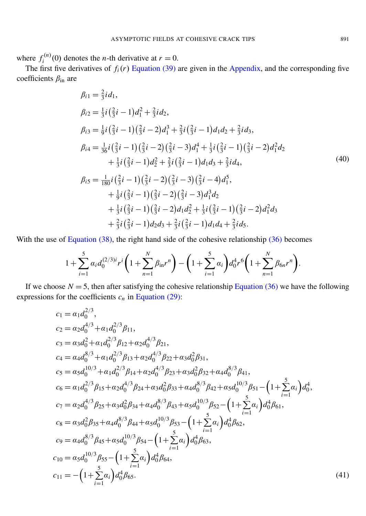where  $f_i^{(n)}$  $i^{(n)}(0)$  denotes the *n*-th derivative at  $r = 0$ .

The first five derivatives of  $f_i(r)$  [Equation](#page-10-1) (39) are given in the [Appendix,](#page-26-1) and the corresponding five coefficients  $\beta_{\rm in}$  are

<span id="page-11-1"></span>
$$
\beta_{i1} = \frac{2}{3}i d_1,\n\beta_{i2} = \frac{1}{3}i(\frac{2}{3}i - 1)d_1^2 + \frac{2}{3}i d_2,\n\beta_{i3} = \frac{1}{9}i(\frac{2}{3}i - 1)(\frac{2}{3}i - 2)d_1^3 + \frac{2}{3}i(\frac{2}{3}i - 1)d_1 d_2 + \frac{2}{3}i d_3,\n\beta_{i4} = \frac{1}{36}i(\frac{2}{3}i - 1)(\frac{2}{3}i - 2)(\frac{2}{3}i - 3)d_1^4 + \frac{1}{3}i(\frac{2}{3}i - 1)(\frac{2}{3}i - 2)d_1^2 d_2\n+ \frac{1}{3}i(\frac{2}{3}i - 1)d_2^2 + \frac{2}{3}i(\frac{2}{3}i - 1)d_1 d_3 + \frac{2}{3}i d_4,\n\beta_{i5} = \frac{1}{180}i(\frac{2}{3}i - 1)(\frac{2}{3}i - 2)(\frac{2}{3}i - 3)(\frac{2}{3}i - 4)d_1^5,\n+ \frac{1}{9}i(\frac{2}{3}i - 1)(\frac{2}{3}i - 2)(\frac{2}{3}i - 3)d_1^3 d_2\n+ \frac{1}{3}i(\frac{2}{3}i - 1)(\frac{2}{3}i - 2)d_1 d_2^2 + \frac{1}{3}i(\frac{2}{3}i - 1)(\frac{2}{3}i - 2)d_1^2 d_3\n+ \frac{2}{3}i(\frac{2}{3}i - 1)d_2 d_3 + \frac{2}{3}i(\frac{2}{3}i - 1)d_1 d_4 + \frac{2}{3}i d_5.
$$
\n(40)

With the use of [Equation \(38\),](#page-10-2) the right hand side of the cohesive relationship [\(36\)](#page-10-3) becomes

<span id="page-11-0"></span>
$$
1+\sum_{i=1}^5 \alpha_i d_0^{(2/3)i} r^i \left(1+\sum_{n=1}^N \beta_{\rm in} r^n\right) - \left(1+\sum_{i=1}^5 \alpha_i\right) d_0^4 r^6 \left(1+\sum_{n=1}^N \beta_{6n} r^n\right).
$$

If we choose  $N = 5$ , then after satisfying the cohesive relationship [Equation](#page-10-3) (36) we have the following expressions for the coefficients  $c_n$  in [Equation \(29\):](#page-9-0)

$$
c_1 = \alpha_1 d_0^{2/3},
$$
  
\n
$$
c_2 = \alpha_2 d_0^{4/3} + \alpha_1 d_0^{2/3} \beta_{11},
$$
  
\n
$$
c_3 = \alpha_3 d_0^2 + \alpha_1 d_0^{2/3} \beta_{12} + \alpha_2 d_0^{4/3} \beta_{21},
$$
  
\n
$$
c_4 = \alpha_4 d_0^{8/3} + \alpha_1 d_0^{2/3} \beta_{13} + \alpha_2 d_0^{4/3} \beta_{22} + \alpha_3 d_0^2 \beta_{31},
$$
  
\n
$$
c_5 = \alpha_5 d_0^{10/3} + \alpha_1 d_0^{2/3} \beta_{14} + \alpha_2 d_0^{4/3} \beta_{23} + \alpha_3 d_0^2 \beta_{32} + \alpha_4 d_0^{8/3} \beta_{41},
$$
  
\n
$$
c_6 = \alpha_1 d_0^{2/3} \beta_{15} + \alpha_2 d_0^{4/3} \beta_{24} + \alpha_3 d_0^2 \beta_{33} + \alpha_4 d_0^{8/3} \beta_{42} + \alpha_5 d_0^{10/3} \beta_{51} - (1 + \sum_{i=1}^5 \alpha_i) d_0^4,
$$
  
\n
$$
c_7 = \alpha_2 d_0^{4/3} \beta_{25} + \alpha_3 d_0^2 \beta_{34} + \alpha_4 d_0^{8/3} \beta_{43} + \alpha_5 d_0^{10/3} \beta_{52} - (1 + \sum_{i=1}^5 \alpha_i) d_0^4 \beta_{61},
$$
  
\n
$$
c_8 = \alpha_3 d_0^2 \beta_{35} + \alpha_4 d_0^{8/3} \beta_{44} + \alpha_5 d_0^{10/3} \beta_{53} - (1 + \sum_{i=1}^5 \alpha_i) d_0^4 \beta_{62},
$$
  
\n
$$
c_9 = \alpha_4 d_0^{8/3} \beta_{45} + \alpha_5 d_0^{10/3} \beta_{54} - (1 + \sum_{i=1}^5 \alpha_i) d_0^4 \beta_{63},
$$
  
\n
$$
c_{10} = \alpha_5
$$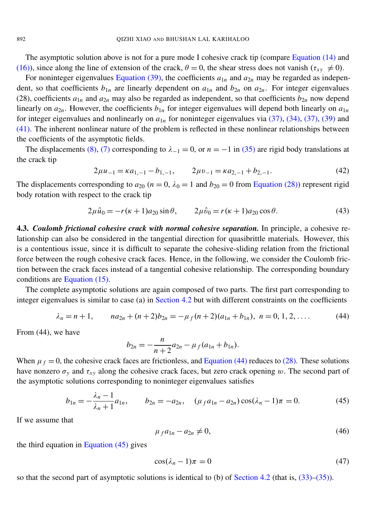The asymptotic solution above is not for a pure mode I cohesive crack tip (compare [Equation](#page-7-3) (14) and [\(16\)\)](#page-7-4), since along the line of extension of the crack,  $\theta = 0$ , the shear stress does not vanish ( $\tau_{xy} \neq 0$ ).

For noninteger eigenvalues [Equation](#page-10-1) (39), the coefficients  $a_{1n}$  and  $a_{2n}$  may be regarded as independent, so that coefficients  $b_{1n}$  are linearly dependent on  $a_{1n}$  and  $b_{2n}$  on  $a_{2n}$ . For integer eigenvalues (28), coefficients  $a_{1n}$  and  $a_{2n}$  may also be regarded as independent, so that coefficients  $b_{2n}$  now depend linearly on  $a_{2n}$ . However, the coefficients  $b_{1n}$  for integer eigenvalues will depend both linearly on  $a_{1n}$ for integer eigenvalues and nonlinearly on  $a_{1n}$  for noninteger eigenvalues via  $(37)$ ,  $(34)$ ,  $(37)$ ,  $(39)$  and [\(41\).](#page-11-0) The inherent nonlinear nature of the problem is reflected in these nonlinear relationships between the coefficients of the asymptotic fields.

The displacements [\(8\),](#page-6-4) [\(7\)](#page-6-5) corresponding to  $\lambda_{-1} = 0$ , or  $n = -1$  in [\(35\)](#page-10-5) are rigid body translations at the crack tip

<span id="page-12-3"></span><span id="page-12-2"></span>
$$
2\mu u_{-1} = \kappa a_{1,-1} - b_{1,-1}, \qquad 2\mu v_{-1} = \kappa a_{2,-1} + b_{2,-1}.
$$
 (42)

The displacements corresponding to  $a_{20}$  ( $n = 0$ ,  $\lambda_0 = 1$  and  $b_{20} = 0$  from [Equation](#page-9-1) (28)) represent rigid body rotation with respect to the crack tip

$$
2\mu\hat{u}_0 = -r(\kappa + 1)a_{20}\sin\theta, \qquad 2\mu\hat{v}_0 = r(\kappa + 1)a_{20}\cos\theta. \tag{43}
$$

<span id="page-12-4"></span>4.3. *Coulomb frictional cohesive crack with normal cohesive separation.* In principle, a cohesive relationship can also be considered in the tangential direction for quasibrittle materials. However, this is a contentious issue, since it is difficult to separate the cohesive-sliding relation from the frictional force between the rough cohesive crack faces. Hence, in the following, we consider the Coulomb friction between the crack faces instead of a tangential cohesive relationship. The corresponding boundary conditions are [Equation \(15\).](#page-7-5)

The complete asymptotic solutions are again composed of two parts. The first part corresponding to integer eigenvalues is similar to case (a) in [Section 4.2](#page-9-2) but with different constraints on the coefficients

$$
\lambda_n = n + 1, \qquad na_{2n} + (n+2)b_{2n} = -\mu_f(n+2)(a_{1n} + b_{1n}), \ n = 0, 1, 2, \dots \tag{44}
$$

From (44), we have

<span id="page-12-0"></span>
$$
b_{2n}=-\frac{n}{n+2}a_{2n}-\mu_f(a_{1n}+b_{1n}).
$$

When  $\mu_f = 0$ , the cohesive crack faces are frictionless, and [Equation](#page-12-0) (44) reduces to [\(28\).](#page-9-1) These solutions have nonzero  $\sigma_y$  and  $\tau_{xy}$  along the cohesive crack faces, but zero crack opening w. The second part of the asymptotic solutions corresponding to noninteger eigenvalues satisfies

<span id="page-12-5"></span>
$$
b_{1n} = -\frac{\lambda_n - 1}{\lambda_n + 1} a_{1n}, \qquad b_{2n} = -a_{2n}, \quad (\mu_f a_{1n} - a_{2n}) \cos(\lambda_n - 1)\pi = 0.
$$
 (45)

If we assume that

<span id="page-12-1"></span>
$$
\mu_f a_{1n} - a_{2n} \neq 0,\tag{46}
$$

the third equation in [Equation \(45\)](#page-12-1) gives

$$
\cos(\lambda_n - 1)\pi = 0\tag{47}
$$

so that the second part of asymptotic solutions is identical to (b) of [Section 4.2](#page-9-2) (that is,  $(33)$ – $(35)$ ).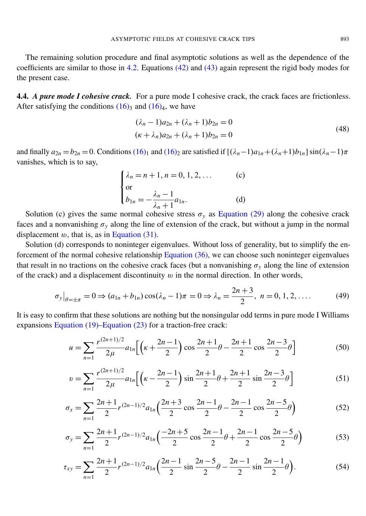The remaining solution procedure and final asymptotic solutions as well as the dependence of the coefficients are similar to those in [4.2.](#page-9-2) Equations [\(42\)](#page-12-2) and [\(43\)](#page-12-3) again represent the rigid body modes for the present case.

<span id="page-13-1"></span>**4.4.** *A pure mode I cohesive crack.* For a pure mode I cohesive crack, the crack faces are frictionless. After satisfying the conditions  $(16)$ <sub>3</sub> and  $(16)$ <sub>4</sub>, we have

$$
(\lambda_n - 1)a_{2n} + (\lambda_n + 1)b_{2n} = 0
$$
  
( $\kappa + \lambda_n$ ) $a_{2n} + (\lambda_n + 1)b_{2n} = 0$  (48)

and finally  $a_{2n} = b_{2n} = 0$ . Conditions [\(16\)](#page-7-4)<sub>1</sub> and (16)<sub>2</sub> are satisfied if  $[(\lambda_n - 1)a_{1n} + (\lambda_n + 1)b_{1n}] \sin((\lambda_n - 1)\pi)$ vanishes, which is to say,

<span id="page-13-2"></span>
$$
\begin{cases} \lambda_n = n + 1, n = 0, 1, 2, \dots \\ \text{or} \\ b_{1n} = -\frac{\lambda_n - 1}{\lambda_n + 1} a_{1n}. \end{cases} \tag{c}
$$

Solution (c) gives the same normal cohesive stress  $\sigma_y$  as [Equation](#page-9-0) (29) along the cohesive crack faces and a nonvanishing  $\sigma_y$  along the line of extension of the crack, but without a jump in the normal displacement  $w$ , that is, as in [Equation \(31\).](#page-10-7)

Solution (d) corresponds to noninteger eigenvalues. Without loss of generality, but to simplify the enforcement of the normal cohesive relationship [Equation](#page-10-3) (36), we can choose such noninteger eigenvalues that result in no tractions on the cohesive crack faces (but a nonvanishing  $\sigma_y$  along the line of extension of the crack) and a displacement discontinuity  $w$  in the normal direction. In other words,

$$
\sigma_y|_{\theta=\pm\pi} = 0 \Rightarrow (a_{1n} + b_{1n})\cos(\lambda_n - 1)\pi = 0 \Rightarrow \lambda_n = \frac{2n+3}{2}, \ n = 0, 1, 2, \dots
$$
 (49)

It is easy to confirm that these solutions are nothing but the nonsingular odd terms in pure mode I Williams expansions [Equation \(19\)–](#page-8-2)[Equation \(23\)](#page-8-3) for a traction-free crack:

<span id="page-13-3"></span>
$$
u = \sum_{n=1}^{\infty} \frac{r^{(2n+1)/2}}{2\mu} a_{1n} \left[ \left( \kappa + \frac{2n-1}{2} \right) \cos \frac{2n+1}{2} \theta - \frac{2n+1}{2} \cos \frac{2n-3}{2} \theta \right]
$$
(50)

<span id="page-13-0"></span>
$$
v = \sum_{n=1}^{\infty} \frac{r^{(2n+1)/2}}{2\mu} a_{1n} \left[ \left( \kappa - \frac{2n-1}{2} \right) \sin \frac{2n+1}{2} \theta + \frac{2n+1}{2} \sin \frac{2n-3}{2} \theta \right]
$$
(51)

$$
\sigma_x = \sum_{n=1}^{\infty} \frac{2n+1}{2} r^{(2n-1)/2} a_{1n} \left( \frac{2n+3}{2} \cos \frac{2n-1}{2} \theta - \frac{2n-1}{2} \cos \frac{2n-5}{2} \theta \right)
$$
(52)

$$
\sigma_y = \sum_{n=1}^{\infty} \frac{2n+1}{2} r^{(2n-1)/2} a_{1n} \left( \frac{-2n+5}{2} \cos \frac{2n-1}{2} \theta + \frac{2n-1}{2} \cos \frac{2n-5}{2} \theta \right)
$$
(53)

<span id="page-13-4"></span>
$$
\tau_{xy} = \sum_{n=1}^{\infty} \frac{2n+1}{2} r^{(2n-1)/2} a_{1n} \left( \frac{2n-1}{2} \sin \frac{2n-5}{2} \theta - \frac{2n-1}{2} \sin \frac{2n-1}{2} \theta \right).
$$
 (54)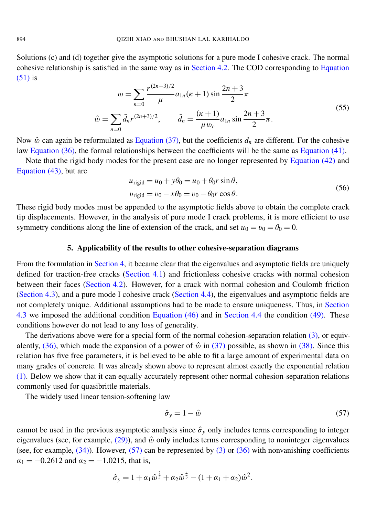<span id="page-14-2"></span>Solutions (c) and (d) together give the asymptotic solutions for a pure mode I cohesive crack. The normal cohesive relationship is satisfied in the same way as in [Section 4.2.](#page-9-2) The COD corresponding to [Equation](#page-13-0) [\(51\)](#page-13-0) is (2*n*+3)/2

$$
w = \sum_{n=0}^{\infty} \frac{r^{(2n+3)/2}}{\mu} a_{1n}(\kappa + 1) \sin \frac{2n+3}{2} \pi
$$
  

$$
\hat{w} = \sum_{n=0}^{\infty} \bar{d}_n r^{(2n+3)/2}, \qquad \bar{d}_n = \frac{(\kappa + 1)}{\mu w_c} a_{1n} \sin \frac{2n+3}{2} \pi.
$$
 (55)

Now  $\hat{w}$  can again be reformulated as [Equation](#page-10-4) (37), but the coefficients  $d_n$  are different. For the cohesive law [Equation \(36\),](#page-10-3) the formal relationships between the coefficients will be the same as [Equation \(41\).](#page-11-0)

Note that the rigid body modes for the present case are no longer represented by [Equation](#page-12-2) (42) and [Equation \(43\),](#page-12-3) but are

$$
u_{\text{rigid}} = u_0 + y\theta_0 = u_0 + \theta_0 r \sin \theta,
$$
  

$$
v_{\text{rigid}} = v_0 - x\theta_0 = v_0 - \theta_0 r \cos \theta.
$$
 (56)

These rigid body modes must be appended to the asymptotic fields above to obtain the complete crack tip displacements. However, in the analysis of pure mode I crack problems, it is more efficient to use symmetry conditions along the line of extension of the crack, and set  $u_0 = v_0 = \theta_0 = 0$ .

#### 5. Applicability of the results to other cohesive-separation diagrams

<span id="page-14-0"></span>From the formulation in [Section 4,](#page-7-0) it became clear that the eigenvalues and asymptotic fields are uniquely defined for traction-free cracks [\(Section 4.1\)](#page-8-4) and frictionless cohesive cracks with normal cohesion between their faces [\(Section 4.2\)](#page-9-2). However, for a crack with normal cohesion and Coulomb friction [\(Section 4.3\)](#page-12-4), and a pure mode I cohesive crack [\(Section 4.4\)](#page-13-1), the eigenvalues and asymptotic fields are not completely unique. Additional assumptions had to be made to ensure uniqueness. Thus, in [Section](#page-12-4) [4.3](#page-12-4) we imposed the additional condition [Equation](#page-12-5) (46) and in [Section 4.4](#page-13-1) the condition [\(49\).](#page-13-2) These conditions however do not lead to any loss of generality.

The derivations above were for a special form of the normal cohesion-separation relation  $(3)$ , or equiv-alently, [\(36\),](#page-10-3) which made the expansion of a power of  $\hat{w}$  in [\(37\)](#page-10-4) possible, as shown in [\(38\).](#page-10-2) Since this relation has five free parameters, it is believed to be able to fit a large amount of experimental data on many grades of concrete. It was already shown above to represent almost exactly the exponential relation [\(1\).](#page-3-1) Below we show that it can equally accurately represent other normal cohesion-separation relations commonly used for quasibrittle materials.

The widely used linear tension-softening law

<span id="page-14-1"></span>
$$
\hat{\sigma}_y = 1 - \hat{w} \tag{57}
$$

cannot be used in the previous asymptotic analysis since  $\hat{\sigma}_y$  only includes terms corresponding to integer eigenvalues (see, for example,  $(29)$ ), and  $\hat{w}$  only includes terms corresponding to noninteger eigenvalues (see, for example,  $(34)$ ). However,  $(57)$  can be represented by  $(3)$  or  $(36)$  with nonvanishing coefficients  $\alpha_1 = -0.2612$  and  $\alpha_2 = -1.0215$ , that is,

$$
\hat{\sigma}_y = 1 + \alpha_1 \hat{w}^{\frac{2}{3}} + \alpha_2 \hat{w}^{\frac{4}{3}} - (1 + \alpha_1 + \alpha_2) \hat{w}^2.
$$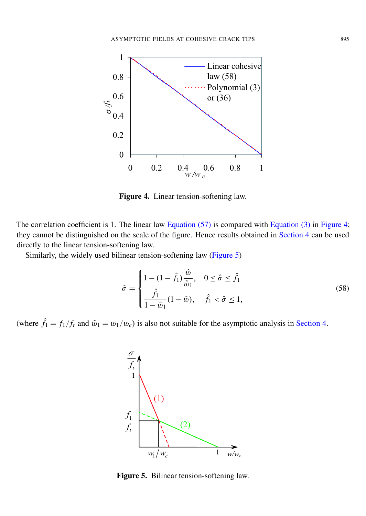<span id="page-15-0"></span>

Figure 4. Linear tension-softening law.

The correlation coefficient is 1. The linear law [Equation](#page-4-1) (57) is compared with Equation (3) in [Figure 4;](#page-15-0) they cannot be distinguished on the scale of the figure. Hence results obtained in [Section 4](#page-7-0) can be used directly to the linear tension-softening law.

Similarly, the widely used bilinear tension-softening law [\(Figure 5\)](#page-15-1)

$$
\hat{\sigma} = \begin{cases}\n1 - (1 - \hat{f}_1) \frac{\hat{w}}{\hat{w}_1}, & 0 \le \hat{\sigma} \le \hat{f}_1 \\
\frac{\hat{f}_1}{1 - \hat{w}_1} (1 - \hat{w}), & \hat{f}_1 < \hat{\sigma} \le 1,\n\end{cases}
$$
\n(58)

<span id="page-15-1"></span>(where  $\hat{f}_1 = f_1/f_t$  and  $\hat{w}_1 = w_1/w_c$ ) is also not suitable for the asymptotic analysis in [Section 4.](#page-7-0)



Figure 5. Bilinear tension-softening law.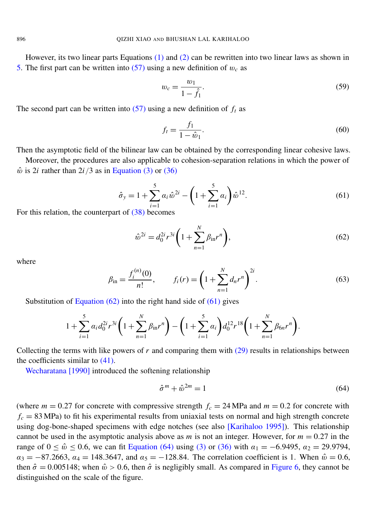However, its two linear parts Equations  $(1)$  and  $(2)$  can be rewritten into two linear laws as shown in [5.](#page-15-1) The first part can be written into  $(57)$  using a new definition of  $w_c$  as

$$
w_c = \frac{w_1}{1 - \hat{f}_1}.\tag{59}
$$

The second part can be written into  $(57)$  using a new definition of  $f_t$  as

<span id="page-16-1"></span>
$$
f_t = \frac{f_1}{1 - \hat{w}_1}.
$$
\n(60)

Then the asymptotic field of the bilinear law can be obtained by the corresponding linear cohesive laws.

Moreover, the procedures are also applicable to cohesion-separation relations in which the power of  $\hat{w}$  is 2*i* rather than 2*i*/3 as in [Equation \(3\)](#page-4-1) or [\(36\)](#page-10-3)

$$
\hat{\sigma}_y = 1 + \sum_{i=1}^5 \alpha_i \hat{w}^{2i} - \left(1 + \sum_{i=1}^5 \alpha_i\right) \hat{w}^{12}.
$$
\n(61)

For this relation, the counterpart of [\(38\)](#page-10-2) becomes

<span id="page-16-0"></span>
$$
\hat{w}^{2i} = d_0^{2i} r^{3i} \left( 1 + \sum_{n=1}^N \beta_{\rm in} r^n \right),\tag{62}
$$

where

$$
\beta_{\rm in} = \frac{f_i^{(n)}(0)}{n!}, \qquad f_i(r) = \left(1 + \sum_{n=1}^N d_n r^n\right)^{2i}.
$$
\n(63)

Substitution of Equation  $(62)$  into the right hand side of  $(61)$  gives

$$
1+\sum_{i=1}^5 \alpha_i d_0^{2i} r^{3i} \left(1+\sum_{n=1}^N \beta_{\rm in} r^n\right) - \left(1+\sum_{i=1}^5 \alpha_i\right) d_0^{12} r^{18} \left(1+\sum_{n=1}^N \beta_{6n} r^n\right).
$$

Collecting the terms with like powers of  $r$  and comparing them with  $(29)$  results in relationships between the coefficients similar to [\(41\).](#page-11-0)

[Wecharatana](#page-29-14) [1990] introduced the softening relationship

<span id="page-16-2"></span>
$$
\hat{\sigma}^m + \hat{\omega}^{2m} = 1\tag{64}
$$

(where  $m = 0.27$  for concrete with compressive strength  $f_c = 24$  MPa and  $m = 0.2$  for concrete with  $f_c = 83 \text{ MPa}$ ) to fit his experimental results from uniaxial tests on normal and high strength concrete using dog-bone-shaped specimens with edge notches (see also [\[Karihaloo 1995\]](#page-28-18)). This relationship cannot be used in the asymptotic analysis above as  $m$  is not an integer. However, for  $m = 0.27$  in the range of 0 ≤  $\hat{w}$  ≤ 0.6, we can fit [Equation](#page-16-2) (64) using [\(3\)](#page-4-1) or [\(36\)](#page-10-3) with  $\alpha_1$  = −6.9495,  $\alpha_2$  = 29.9794,  $\alpha_3 = -87.2663$ ,  $\alpha_4 = 148.3647$ , and  $\alpha_5 = -128.84$ . The correlation coefficient is 1. When  $\hat{w} = 0.6$ , then  $\hat{\sigma} = 0.005148$ ; when  $\hat{\omega} > 0.6$ , then  $\hat{\sigma}$  is negligibly small. As compared in [Figure 6,](#page-17-0) they cannot be distinguished on the scale of the figure.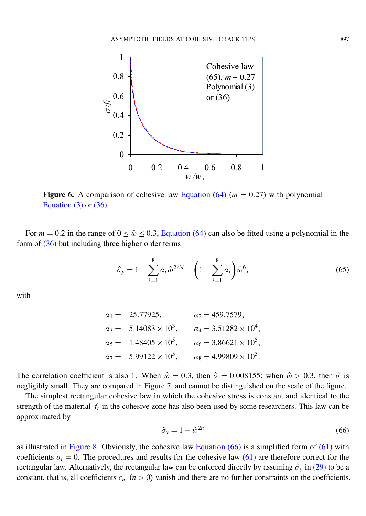<span id="page-17-0"></span>

**Figure 6.** A comparison of cohesive law [Equation \(64\)](#page-16-2) ( $m = 0.27$ ) with polynomial Equation  $(3)$  or  $(36)$ .

For  $m = 0.2$  in the range of  $0 \le \hat{w} \le 0.3$ , [Equation](#page-16-2) (64) can also be fitted using a polynomial in the form of [\(36\)](#page-10-3) but including three higher order terms

<span id="page-17-2"></span>
$$
\hat{\sigma}_y = 1 + \sum_{i=1}^8 \alpha_i \hat{w}^{2/3i} - \left(1 + \sum_{i=1}^8 \alpha_i\right) \hat{w}^6,\tag{65}
$$

with

$$
\alpha_1 = -25.77925,
$$
\n $\alpha_2 = 459.7579,$ \n  
\n $\alpha_3 = -5.14083 \times 10^3,$ \n $\alpha_4 = 3.51282 \times 10^4,$ \n  
\n $\alpha_5 = -1.48405 \times 10^5,$ \n $\alpha_6 = 3.86621 \times 10^5,$ \n  
\n $\alpha_7 = -5.99122 \times 10^5,$ \n $\alpha_8 = 4.99809 \times 10^5.$ 

The correlation coefficient is also 1. When  $\hat{\omega} = 0.3$ , then  $\hat{\sigma} = 0.008155$ ; when  $\hat{\omega} > 0.3$ , then  $\hat{\sigma}$  is negligibly small. They are compared in [Figure 7,](#page-18-1) and cannot be distinguished on the scale of the figure.

<span id="page-17-1"></span>The simplest rectangular cohesive law in which the cohesive stress is constant and identical to the strength of the material  $f_t$  in the cohesive zone has also been used by some researchers. This law can be approximated by

$$
\hat{\sigma}_y = 1 - \hat{\omega}^{2n} \tag{66}
$$

as illustrated in [Figure 8.](#page-18-2) Obviously, the cohesive law [Equation](#page-17-1)  $(66)$  is a simplified form of  $(61)$  with coefficients  $a_i = 0$ . The procedures and results for the cohesive law [\(61\)](#page-16-1) are therefore correct for the rectangular law. Alternatively, the rectangular law can be enforced directly by assuming  $\hat{\sigma}_y$  in [\(29\)](#page-9-0) to be a constant, that is, all coefficients  $c_n$  ( $n > 0$ ) vanish and there are no further constraints on the coefficients.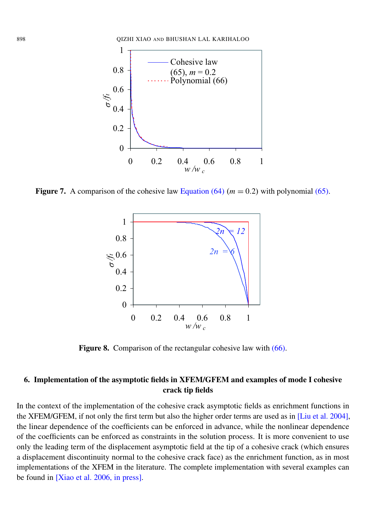<span id="page-18-1"></span>

<span id="page-18-2"></span>**Figure 7.** A comparison of the cohesive law Equation  $(64)$   $(m = 0.2)$  with polynomial  $(65)$ .



Figure 8. Comparison of the rectangular cohesive law with [\(66\).](#page-17-1)

#### <span id="page-18-0"></span>6. Implementation of the asymptotic fields in XFEM/GFEM and examples of mode I cohesive crack tip fields

In the context of the implementation of the cohesive crack asymptotic fields as enrichment functions in the XFEM/GFEM, if not only the first term but also the higher order terms are used as in [\[Liu et al. 2004\]](#page-28-20), the linear dependence of the coefficients can be enforced in advance, while the nonlinear dependence of the coefficients can be enforced as constraints in the solution process. It is more convenient to use only the leading term of the displacement asymptotic field at the tip of a cohesive crack (which ensures a displacement discontinuity normal to the cohesive crack face) as the enrichment function, as in most implementations of the XFEM in the literature. The complete implementation with several examples can be found in [\[Xiao et al. 2006, in press\]](#page-29-15).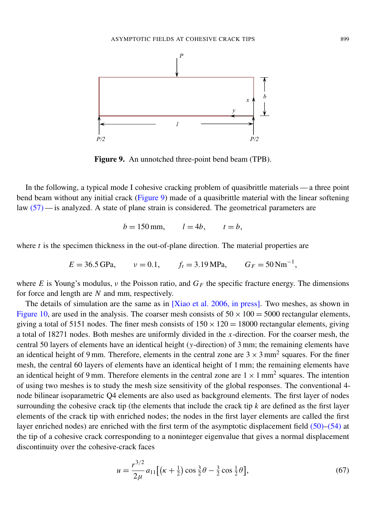<span id="page-19-0"></span>

Figure 9. An unnotched three-point bend beam (TPB).

In the following, a typical mode I cohesive cracking problem of quasibrittle materials — a three point bend beam without any initial crack [\(Figure 9\)](#page-19-0) made of a quasibrittle material with the linear softening law [\(57\)](#page-14-1) — is analyzed. A state of plane strain is considered. The geometrical parameters are

$$
b = 150 \,\mathrm{mm}, \qquad l = 4b, \qquad t = b,
$$

where  $t$  is the specimen thickness in the out-of-plane direction. The material properties are

$$
E = 36.5 \text{ GPa}
$$
,  $v = 0.1$ ,  $f_t = 3.19 \text{ MPa}$ ,  $G_F = 50 \text{ Nm}^{-1}$ ,

where *E* is Young's modulus,  $\nu$  the Poisson ratio, and  $G_F$  the specific fracture energy. The dimensions for force and length are *N* and mm, respectively.

The details of simulation are the same as in [\[Xiao et al. 2006, in press\]](#page-29-15). Two meshes, as shown in [Figure 10,](#page-20-0) are used in the analysis. The coarser mesh consists of  $50 \times 100 = 5000$  rectangular elements, giving a total of 5151 nodes. The finer mesh consists of  $150 \times 120 = 18000$  rectangular elements, giving a total of 18271 nodes. Both meshes are uniformly divided in the *x*-direction. For the coarser mesh, the central 50 layers of elements have an identical height (*y*-direction) of 3 mm; the remaining elements have an identical height of 9 mm. Therefore, elements in the central zone are  $3 \times 3$  mm<sup>2</sup> squares. For the finer mesh, the central 60 layers of elements have an identical height of 1 mm; the remaining elements have an identical height of 9 mm. Therefore elements in the central zone are  $1 \times 1$  mm<sup>2</sup> squares. The intention of using two meshes is to study the mesh size sensitivity of the global responses. The conventional 4 node bilinear isoparametric Q4 elements are also used as background elements. The first layer of nodes surrounding the cohesive crack tip (the elements that include the crack tip *k* are defined as the first layer elements of the crack tip with enriched nodes; the nodes in the first layer elements are called the first layer enriched nodes) are enriched with the first term of the asymptotic displacement field [\(50\)](#page-13-3)[–\(54\)](#page-13-4) at the tip of a cohesive crack corresponding to a noninteger eigenvalue that gives a normal displacement discontinuity over the cohesive-crack faces

$$
u = \frac{r^{3/2}}{2\mu} a_{11} \left[ \left( \kappa + \frac{1}{2} \right) \cos \frac{3}{2} \theta - \frac{3}{2} \cos \frac{1}{2} \theta \right],\tag{67}
$$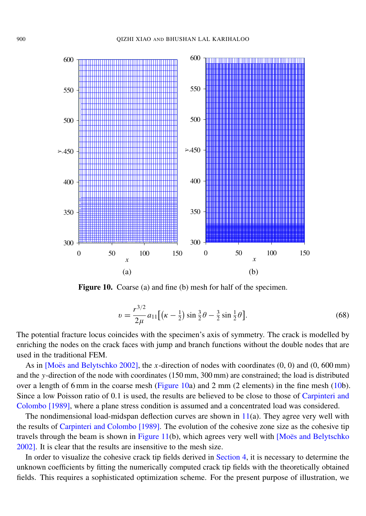<span id="page-20-0"></span>

Figure 10. Coarse (a) and fine (b) mesh for half of the specimen.

$$
v = \frac{r^{3/2}}{2\mu} a_{11} \left[ \left( \kappa - \frac{1}{2} \right) \sin \frac{3}{2} \theta - \frac{3}{2} \sin \frac{1}{2} \theta \right].
$$
 (68)

The potential fracture locus coincides with the specimen's axis of symmetry. The crack is modelled by enriching the nodes on the crack faces with jump and branch functions without the double nodes that are used in the traditional FEM.

As in  $[Moës$  and Belytschko 2002], the *x*-direction of nodes with coordinates  $(0, 0)$  and  $(0, 600 \text{ mm})$ and the *y*-direction of the node with coordinates (150 mm, 300 mm) are constrained; the load is distributed over a length of 6 mm in the coarse mesh [\(Figure 10a](#page-20-0)) and 2 mm (2 elements) in the fine mesh [\(10b](#page-20-0)). Since a low Poisson ratio of 0.1 is used, the results are believed to be close to those of [Carpinteri and](#page-28-21) [Colombo](#page-28-21) [1989], where a plane stress condition is assumed and a concentrated load was considered.

The nondimensional load-midspan deflection curves are shown in  $11(a)$  $11(a)$ . They agree very well with the results of [Carpinteri and Colombo](#page-28-21) [1989]. The evolution of the cohesive zone size as the cohesive tip travels through the beam is shown in [Figure 11\(](#page-21-0)b), which agrees very well with  $[Mo\ddot{e}$  and Belytschko [2002\]](#page-29-4). It is clear that the results are insensitive to the mesh size.

In order to visualize the cohesive crack tip fields derived in [Section 4,](#page-7-0) it is necessary to determine the unknown coefficients by fitting the numerically computed crack tip fields with the theoretically obtained fields. This requires a sophisticated optimization scheme. For the present purpose of illustration, we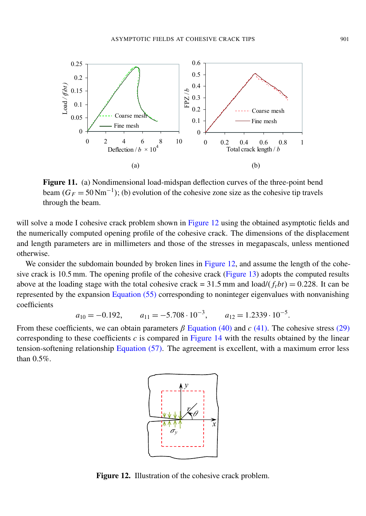<span id="page-21-0"></span>

Figure 11. (a) Nondimensional load-midspan deflection curves of the three-point bend beam  $(G_F = 50 \text{ Nm}^{-1})$ ; (b) evolution of the cohesive zone size as the cohesive tip travels through the beam.

will solve a mode I cohesive crack problem shown in [Figure 12](#page-21-1) using the obtained asymptotic fields and the numerically computed opening profile of the cohesive crack. The dimensions of the displacement and length parameters are in millimeters and those of the stresses in megapascals, unless mentioned otherwise.

We consider the subdomain bounded by broken lines in [Figure 12,](#page-21-1) and assume the length of the cohesive crack is 10.5 mm. The opening profile of the cohesive crack [\(Figure 13\)](#page-22-0) adopts the computed results above at the loading stage with the total cohesive crack =  $31.5$  mm and load/ $(f<sub>i</sub>bt) = 0.228$ . It can be represented by the expansion [Equation](#page-14-2) (55) corresponding to noninteger eigenvalues with nonvanishing coefficients

$$
a_{10} = -0.192
$$
,  $a_{11} = -5.708 \cdot 10^{-3}$ ,  $a_{12} = 1.2339 \cdot 10^{-5}$ .

<span id="page-21-1"></span>From these coefficients, we can obtain parameters β [Equation](#page-11-1) (40) and *c* [\(41\).](#page-11-0) The cohesive stress [\(29\)](#page-9-0) corresponding to these coefficients *c* is compared in [Figure 14](#page-22-1) with the results obtained by the linear tension-softening relationship [Equation](#page-14-1) (57). The agreement is excellent, with a maximum error less than 0.5%.



Figure 12. Illustration of the cohesive crack problem.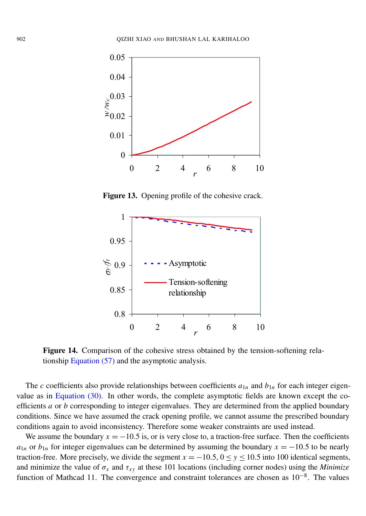<span id="page-22-0"></span>

Figure 13. Opening profile of the cohesive crack.

<span id="page-22-1"></span>

Figure 14. Comparison of the cohesive stress obtained by the tension-softening relationship [Equation \(57\)](#page-14-1) and the asymptotic analysis.

The *c* coefficients also provide relationships between coefficients  $a_{1n}$  and  $b_{1n}$  for each integer eigenvalue as in [Equation](#page-10-8) (30). In other words, the complete asymptotic fields are known except the coefficients *a* or *b* corresponding to integer eigenvalues. They are determined from the applied boundary conditions. Since we have assumed the crack opening profile, we cannot assume the prescribed boundary conditions again to avoid inconsistency. Therefore some weaker constraints are used instead.

We assume the boundary  $x = -10.5$  is, or is very close to, a traction-free surface. Then the coefficients *a*<sub>1*n*</sub> or *b*<sub>1*n*</sub> for integer eigenvalues can be determined by assuming the boundary  $x = -10.5$  to be nearly traction-free. More precisely, we divide the segment  $x = -10.5$ ,  $0 \le y \le 10.5$  into 100 identical segments, and minimize the value of  $\sigma_x$  and  $\tau_{xy}$  at these 101 locations (including corner nodes) using the *Minimize* function of Mathcad 11. The convergence and constraint tolerances are chosen as 10<sup>-8</sup>. The values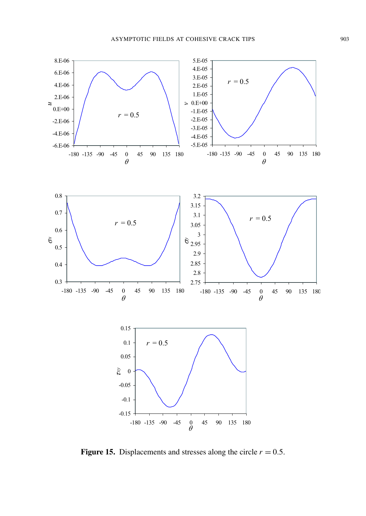<span id="page-23-0"></span>

Figure 15. Displacements and stresses along the circle  $r = 0.5$ .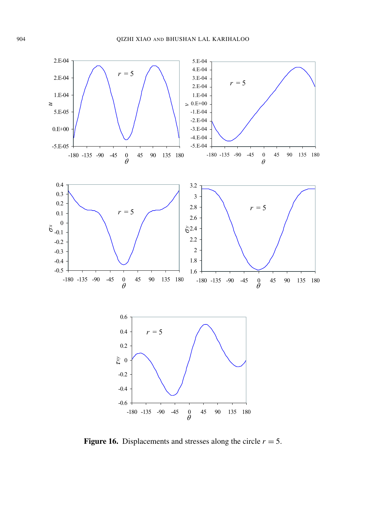

Figure 16. Displacements and stresses along the circle  $r = 5$ .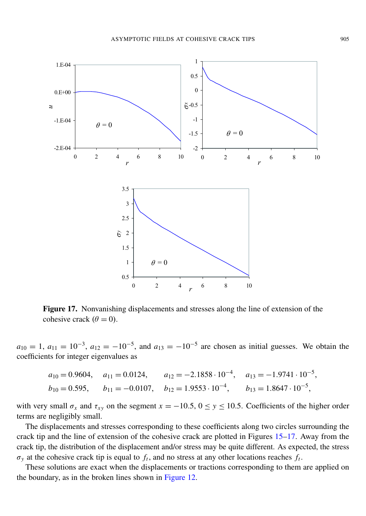<span id="page-25-0"></span>

Figure 17. Nonvanishing displacements and stresses along the line of extension of the cohesive crack  $(\theta = 0)$ .

 $a_{10} = 1$ ,  $a_{11} = 10^{-3}$ ,  $a_{12} = -10^{-5}$ , and  $a_{13} = -10^{-5}$  are chosen as initial guesses. We obtain the coefficients for integer eigenvalues as

$$
a_{10} = 0.9604
$$
,  $a_{11} = 0.0124$ ,  $a_{12} = -2.1858 \cdot 10^{-4}$ ,  $a_{13} = -1.9741 \cdot 10^{-5}$ ,  
\n $b_{10} = 0.595$ ,  $b_{11} = -0.0107$ ,  $b_{12} = 1.9553 \cdot 10^{-4}$ ,  $b_{13} = 1.8647 \cdot 10^{-5}$ ,

with very small  $\sigma_x$  and  $\tau_{xy}$  on the segment  $x = -10.5$ ,  $0 \le y \le 10.5$ . Coefficients of the higher order terms are negligibly small.

The displacements and stresses corresponding to these coefficients along two circles surrounding the crack tip and the line of extension of the cohesive crack are plotted in Figures [15–](#page-23-0)[17.](#page-25-0) Away from the crack tip, the distribution of the displacement and/or stress may be quite different. As expected, the stress  $\sigma_y$  at the cohesive crack tip is equal to  $f_t$ , and no stress at any other locations reaches  $f_t$ .

These solutions are exact when the displacements or tractions corresponding to them are applied on the boundary, as in the broken lines shown in [Figure 12.](#page-21-1)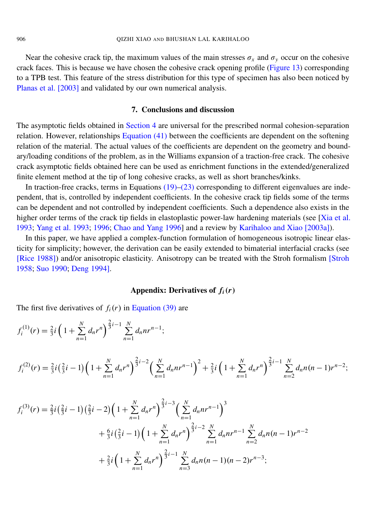Near the cohesive crack tip, the maximum values of the main stresses  $\sigma_x$  and  $\sigma_y$  occur on the cohesive crack faces. This is because we have chosen the cohesive crack opening profile [\(Figure 13\)](#page-22-0) corresponding to a TPB test. This feature of the stress distribution for this type of specimen has also been noticed by [Planas et al.](#page-29-6) [2003] and validated by our own numerical analysis.

#### 7. Conclusions and discussion

<span id="page-26-0"></span>The asymptotic fields obtained in [Section 4](#page-7-0) are universal for the prescribed normal cohesion-separation relation. However, relationships [Equation](#page-11-0) (41) between the coefficients are dependent on the softening relation of the material. The actual values of the coefficients are dependent on the geometry and boundary/loading conditions of the problem, as in the Williams expansion of a traction-free crack. The cohesive crack asymptotic fields obtained here can be used as enrichment functions in the extended/generalized finite element method at the tip of long cohesive cracks, as well as short branches/kinks.

In traction-free cracks, terms in Equations  $(19)$ – $(23)$  corresponding to different eigenvalues are independent, that is, controlled by independent coefficients. In the cohesive crack tip fields some of the terms can be dependent and not controlled by independent coefficients. Such a dependence also exists in the higher order terms of the crack tip fields in elastoplastic power-law hardening materials (see [\[Xia et al.](#page-29-16) [1993;](#page-29-16) [Yang et al. 1993;](#page-29-17) [1996;](#page-29-18) [Chao and Yang 1996\]](#page-28-22) and a review by [Karihaloo and Xiao](#page-28-19) [2003a]).

In this paper, we have applied a complex-function formulation of homogeneous isotropic linear elasticity for simplicity; however, the derivation can be easily extended to bimaterial interfacial cracks (see [\[Rice 1988\]](#page-29-19)) and/or anisotropic elasticity. Anisotropy can be treated with the Stroh formalism [\[Stroh](#page-29-20) [1958;](#page-29-20) [Suo 1990;](#page-29-21) [Deng 1994\]](#page-28-12).

#### Appendix: Derivatives of *fi*(*r*)

<span id="page-26-1"></span>The first five derivatives of  $f_i(r)$  in [Equation \(39\)](#page-10-1) are

$$
f_i^{(1)}(r) = \frac{2}{3}i\left(1 + \sum_{n=1}^N d_n r^n\right)^{\frac{2}{3}i-1} \sum_{n=1}^N d_n n r^{n-1};
$$

$$
f_i^{(2)}(r) = \frac{2}{3}i\left(\frac{2}{3}i - 1\right)\left(1 + \sum_{n=1}^N d_n r^n\right)^{\frac{2}{3}i - 2}\left(\sum_{n=1}^N d_n n r^{n-1}\right)^2 + \frac{2}{3}i\left(1 + \sum_{n=1}^N d_n r^n\right)^{\frac{2}{3}i - 1}\sum_{n=2}^N d_n n(n-1)r^{n-2};
$$

$$
f_i^{(3)}(r) = \frac{2}{3}i\left(\frac{2}{3}i - 1\right)\left(\frac{2}{3}i - 2\right)\left(1 + \sum_{n=1}^N d_n r^n\right)^{\frac{2}{3}i - 3}\left(\sum_{n=1}^N d_n n r^{n-1}\right)^3
$$
  
+  $\frac{6}{3}i\left(\frac{2}{3}i - 1\right)\left(1 + \sum_{n=1}^N d_n r^n\right)^{\frac{2}{3}i - 2}\sum_{n=1}^N d_n n r^{n-1}\sum_{n=2}^N d_n n (n - 1) r^{n-2}$   
+  $\frac{2}{3}i\left(1 + \sum_{n=1}^N d_n r^n\right)^{\frac{2}{3}i - 1}\sum_{n=3}^N d_n n (n - 1) (n - 2) r^{n-3};$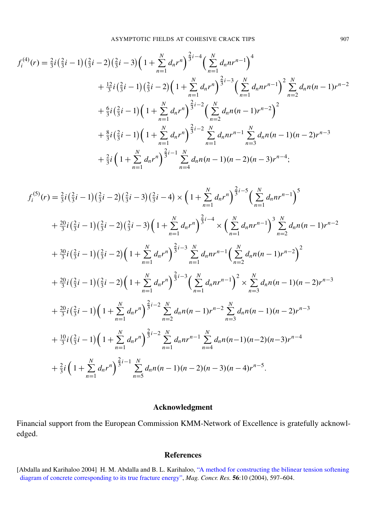ASYMPTOTIC FIELDS AT COHESIVE CRACK TIPS 907

$$
f_{i}^{(4)}(r) = \frac{2}{3}i\left(\frac{2}{3}i - 1\right)\left(\frac{2}{3}i - 2\right)\left(\frac{2}{3}i - 3\right)\left(1 + \sum_{n=1}^{N} d_{n}r^{n}\right)^{\frac{2}{3}i-4}\left(\sum_{n=1}^{N} d_{n}nr^{n-1}\right)^{4}
$$
  
+ 
$$
\frac{12}{3}i\left(\frac{2}{3}i - 1\right)\left(\frac{2}{3}i - 2\right)\left(1 + \sum_{n=1}^{N} d_{n}r^{n}\right)^{\frac{2}{3}i-3}\left(\sum_{n=1}^{N} d_{n}nr^{n-1}\right)^{2}\sum_{n=2}^{N} d_{n}n(n-1)r^{n-2}
$$
  
+ 
$$
\frac{6}{3}i\left(\frac{2}{3}i - 1\right)\left(1 + \sum_{n=1}^{N} d_{n}r^{n}\right)^{\frac{2}{3}i-2}\left(\sum_{n=2}^{N} d_{n}n(n-1)r^{n-2}\right)^{2}
$$
  
+ 
$$
\frac{8}{3}i\left(\frac{2}{3}i - 1\right)\left(1 + \sum_{n=1}^{N} d_{n}r^{n}\right)^{\frac{2}{3}i-2}\sum_{n=1}^{N} d_{n}nr^{n-1}\sum_{n=3}^{N} d_{n}n(n-1)(n-2)r^{n-3}
$$
  
+ 
$$
\frac{2}{3}i\left(1 + \sum_{n=1}^{N} d_{n}r^{n}\right)^{\frac{2}{3}i-1}\sum_{n=4}^{N} d_{n}n(n-1)(n-2)(n-3)r^{n-4};
$$

$$
f_{i}^{(5)}(r) = \frac{2}{3}i\left(\frac{2}{3}i-1\right)\left(\frac{2}{3}i-2\right)\left(\frac{2}{3}i-3\right)\left(\frac{2}{3}i-4\right) \times \left(1+\sum_{n=1}^{N} d_{n}r^{n}\right)^{\frac{2}{3}i-5}\left(\sum_{n=1}^{N} d_{n}n^{n-1}\right)^{5}
$$
  
+  $\frac{20}{3}i\left(\frac{2}{3}i-1\right)\left(\frac{2}{3}i-2\right)\left(\frac{2}{3}i-3\right)\left(1+\sum_{n=1}^{N} d_{n}r^{n}\right)^{\frac{2}{3}i-4} \times \left(\sum_{n=1}^{N} d_{n}n^{n-1}\right)^{3}\sum_{n=2}^{N} d_{n}n(n-1)r^{n-2}$   
+  $\frac{30}{3}i\left(\frac{2}{3}i-1\right)\left(\frac{2}{3}i-2\right)\left(1+\sum_{n=1}^{N} d_{n}r^{n}\right)^{\frac{2}{3}i-3}\sum_{n=1}^{N} d_{n}n^{n-1}\left(\sum_{n=2}^{N} d_{n}n(n-1)r^{n-2}\right)^{2}$   
+  $\frac{20}{3}i\left(\frac{2}{3}i-1\right)\left(\frac{2}{3}i-2\right)\left(1+\sum_{n=1}^{N} d_{n}r^{n}\right)^{\frac{2}{3}i-3}\left(\sum_{n=1}^{N} d_{n}n^{n-1}\right)^{2} \times \sum_{n=3}^{N} d_{n}n(n-1)(n-2)r^{n-3}$   
+  $\frac{20}{3}i\left(\frac{2}{3}i-1\right)\left(1+\sum_{n=1}^{N} d_{n}r^{n}\right)^{\frac{2}{3}i-2}\sum_{n=2}^{N} d_{n}n(n-1)r^{n-2}\sum_{n=3}^{N} d_{n}n(n-1)(n-2)r^{n-3}$   
+  $\frac{10}{3}i\left(\frac{2}{3}i-1\right)\left(1+\sum_{n=1}^{N} d_{n}r^{n}\right)^{\frac{2}{3}i-2}\sum_{n=1}^{N} d_{n}n^{n-1}\sum_{n=4}^{N} d_{n}n(n-1$ 

#### Acknowledgment

Financial support from the European Commission KMM-Network of Excellence is gratefully acknowledged.

#### References

<span id="page-27-0"></span><sup>[</sup>Abdalla and Karihaloo 2004] H. M. Abdalla and B. L. Karihaloo, ["A method for constructing the bilinear tension softening](http://www.concreteresearchonline.com/document_details.asp?ID=MC5610597) [diagram of concrete corresponding to its true fracture energy",](http://www.concreteresearchonline.com/document_details.asp?ID=MC5610597) *Mag. Concr. Res.* 56:10 (2004), 597–604.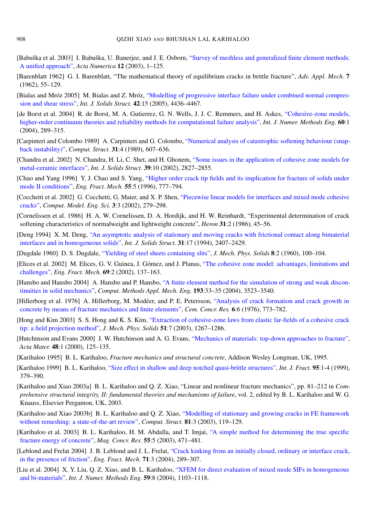- <span id="page-28-8"></span>[Babuška et al. 2003] I. Babuška, U. Banerjee, and J. E. Osborn, ["Survey of meshless and generalized finite element methods:](http://dx.doi.org/10.1017/S0962492902000090) [A unified approach",](http://dx.doi.org/10.1017/S0962492902000090) *Acta Numerica* 12 (2003), 1–125.
- <span id="page-28-0"></span>[Barenblatt 1962] G. I. Barenblatt, "The mathematical theory of equilibrium cracks in brittle fracture", *Adv. Appl. Mech.* 7 (1962), 55–129.
- <span id="page-28-14"></span>[Bialas and Mróz 2005] M. Bialas and Z. Mróz, ["Modelling of progressive interface failure under combined normal compres](http://dx.doi.org/10.1016/j.ijsolstr.2005.01.006)[sion and shear stress",](http://dx.doi.org/10.1016/j.ijsolstr.2005.01.006) *Int. J. Solids Struct.* 42:15 (2005), 4436–4467.
- <span id="page-28-7"></span>[de Borst et al. 2004] R. de Borst, M. A. Gutierrez, G. N. Wells, J. J. C. Remmers, and H. Askes, ["Cohesive-zone models,](http://dx.doi.org/10.1002/nme.963) [higher-order continuum theories and reliability methods for computational failure analysis",](http://dx.doi.org/10.1002/nme.963) *Int. J. Numer. Methods Eng.* 60:1 (2004), 289–315.
- <span id="page-28-21"></span>[Carpinteri and Colombo 1989] A. Carpinteri and G. Colombo, ["Numerical analysis of catastrophic softening behaviour \(snap](http://dx.doi.org/10.1016/0045-7949(89)90337-4)[back instability\)",](http://dx.doi.org/10.1016/0045-7949(89)90337-4) *Comput. Struct.* 31:4 (1989), 607–636.
- <span id="page-28-4"></span>[Chandra et al. 2002] N. Chandra, H. Li, C. Shet, and H. Ghonem, ["Some issues in the application of cohesive zone models for](http://dx.doi.org/10.1016/S0020-7683(02)00149-X) [metal-ceramic interfaces",](http://dx.doi.org/10.1016/S0020-7683(02)00149-X) *Int. J. Solids Struct.* 39:10 (2002), 2827–2855.
- <span id="page-28-22"></span>[Chao and Yang 1996] Y. J. Chao and S. Yang, ["Higher order crack tip fields and its implication for fracture of solids under](http://dx.doi.org/10.1016/0013-7944(96)00054-9) [mode II conditions",](http://dx.doi.org/10.1016/0013-7944(96)00054-9) *Eng. Fract. Mech.* 55:5 (1996), 777–794.
- <span id="page-28-11"></span>[Cocchetti et al. 2002] G. Cocchetti, G. Maier, and X. P. Shen, ["Piecewise linear models for interfaces and mixed mode cohesive](http://www.techscience.com/cmes/v3n3/index.html) [cracks",](http://www.techscience.com/cmes/v3n3/index.html) *Comput. Model. Eng. Sci.* 3:3 (2002), 279–298.
- <span id="page-28-17"></span>[Cornelissen et al. 1986] H. A. W. Cornelissen, D. A. Hordijk, and H. W. Reinhardt, "Experimental determination of crack softening characteristics of normalweight and lightweight concrete", *Heron* 31:2 (1986), 45–56.
- <span id="page-28-12"></span>[Deng 1994] X. M. Deng, ["An asymptotic analysis of stationary and moving cracks with frictional contact along bimaterial](http://dx.doi.org/10.1016/0020-7683(94)90160-0) [interfaces and in homogeneous solids",](http://dx.doi.org/10.1016/0020-7683(94)90160-0) *Int. J. Solids Struct.* 31:17 (1994), 2407–2429.
- <span id="page-28-1"></span>[Dugdale 1960] D. S. Dugdale, ["Yielding of steel sheets containing slits",](http://dx.doi.org/10.1016/0022-5096(60)90013-2) *J. Mech. Phys. Solids* 8:2 (1960), 100–104.
- <span id="page-28-5"></span>[Elices et al. 2002] M. Elices, G. V. Guinea, J. Gómez, and J. Planas, ["The cohesive zone model: advantages, limitations and](http://dx.doi.org/10.1016/S0013-7944(01)00083-2) [challenges",](http://dx.doi.org/10.1016/S0013-7944(01)00083-2) *Eng. Fract. Mech.* 69:2 (2002), 137–163.
- <span id="page-28-10"></span>[Hansbo and Hansbo 2004] A. Hansbo and P. Hansbo, ["A finite element method for the simulation of strong and weak discon](http://dx.doi.org/10.1016/j.cma.2003.12.041)[tinuities in solid mechanics",](http://dx.doi.org/10.1016/j.cma.2003.12.041) *Comput. Methods Appl. Mech. Eng.* 193:33–35 (2004), 3523–3540.
- <span id="page-28-2"></span>[Hillerborg et al. 1976] A. Hillerborg, M. Modéer, and P. E. Petersson, ["Analysis of crack formation and crack growth in](http://dx.doi.org/10.1016/0008-8846(76)90007-7) [concrete by means of fracture mechanics and finite elements",](http://dx.doi.org/10.1016/0008-8846(76)90007-7) *Cem. Concr. Res.* 6:6 (1976), 773–782.
- <span id="page-28-15"></span>[Hong and Kim 2003] S. S. Hong and K. S. Kim, ["Extraction of cohesive-zone laws from elastic far-fields of a cohesive crack](http://dx.doi.org/10.1016/S0022-5096(03)00023-1) [tip: a field projection method",](http://dx.doi.org/10.1016/S0022-5096(03)00023-1) *J. Mech. Phys. Solids* 51:7 (2003), 1267–1286.
- <span id="page-28-3"></span>[Hutchinson and Evans 2000] J. W. Hutchinson and A. G. Evans, ["Mechanics of materials: top-down approaches to fracture",](http://dx.doi.org/10.1016/S1359-6454(99)00291-8) *Acta Mater.* 48:1 (2000), 125–135.
- <span id="page-28-18"></span>[Karihaloo 1995] B. L. Karihaloo, *Fracture mechanics and structural concrete*, Addison Wesley Longman, UK, 1995.
- <span id="page-28-16"></span>[Karihaloo 1999] B. L. Karihaloo, ["Size effect in shallow and deep notched quasi-brittle structures",](http://dx.doi.org/10.1023/A:1018633208621) *Int. J. Fract.* 95:1-4 (1999), 379–390.
- <span id="page-28-19"></span>[Karihaloo and Xiao 2003a] B. L. Karihaloo and Q. Z. Xiao, "Linear and nonlinear fracture mechanics", pp. 81–212 in *Comprehensive structural integrity, II: fundamental theories and mechanisms of failure*, vol. 2, edited by B. L. Karihaloo and W. G. Knauss, Elsevier Pergamon, UK, 2003.
- <span id="page-28-9"></span>[Karihaloo and Xiao 2003b] B. L. Karihaloo and Q. Z. Xiao, ["Modelling of stationary and growing cracks in FE framework](http://dx.doi.org/10.1016/S0045-7949(02)00431-5) [without remeshing: a state-of-the-art review",](http://dx.doi.org/10.1016/S0045-7949(02)00431-5) *Comput. Struct.* 81:3 (2003), 119–129.
- <span id="page-28-6"></span>[Karihaloo et al. 2003] B. L. Karihaloo, H. M. Abdalla, and T. Imjai, ["A simple method for determining the true specific](http://www.concreteresearchonline.com/document_details.asp?ID=MC550507) [fracture energy of concrete",](http://www.concreteresearchonline.com/document_details.asp?ID=MC550507) *Mag. Concr. Res.* 55:5 (2003), 471–481.
- <span id="page-28-13"></span>[Leblond and Frelat 2004] J. B. Leblond and J. L. Frelat, ["Crack kinking from an initially closed, ordinary or interface crack,](http://dx.doi.org/10.1016/S0013-7944(03)00137-1) [in the presence of friction",](http://dx.doi.org/10.1016/S0013-7944(03)00137-1) *Eng. Fract. Mech.* 71:3 (2004), 289–307.
- <span id="page-28-20"></span>[Liu et al. 2004] X. Y. Liu, Q. Z. Xiao, and B. L. Karihaloo, ["XFEM for direct evaluation of mixed mode SIFs in homogeneous](http://dx.doi.org/10.1002/nme.906) [and bi-materials",](http://dx.doi.org/10.1002/nme.906) *Int. J. Numer. Methods Eng.* 59:8 (2004), 1103–1118.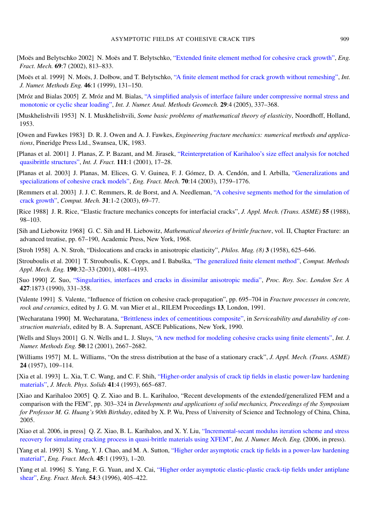- <span id="page-29-4"></span>[Moës and Belytschko 2002] N. Moës and T. Belytschko, ["Extended finite element method for cohesive crack growth",](http://dx.doi.org/10.1016/S0013-7944(01)00128-X) *Eng. Fract. Mech.* 69:7 (2002), 813–833.
- <span id="page-29-0"></span>[Moës et al. 1999] N. Moës, J. Dolbow, and T. Belytschko, ["A finite element method for crack growth without remeshing",](http://www3.interscience.wiley.com/cgi-bin/abstract/63000340/ABSTRACT) *Int. J. Numer. Methods Eng.* 46:1 (1999), 131–150.
- <span id="page-29-8"></span>[Mróz and Bialas 2005] Z. Mróz and M. Bialas, ["A simplified analysis of interface failure under compressive normal stress and](http://dx.doi.org/10.1002/nag.417) [monotonic or cyclic shear loading",](http://dx.doi.org/10.1002/nag.417) *Int. J. Numer. Anal. Methods Geomech.* 29:4 (2005), 337–368.
- <span id="page-29-11"></span>[Muskhelishvili 1953] N. I. Muskhelishvili, *Some basic problems of mathematical theory of elasticity*, Noordhoff, Holland, 1953.
- <span id="page-29-13"></span>[Owen and Fawkes 1983] D. R. J. Owen and A. J. Fawkes, *Engineering fracture mechanics: numerical methods and applications*, Pineridge Press Ltd., Swansea, UK, 1983.
- <span id="page-29-9"></span>[Planas et al. 2001] J. Planas, Z. P. Bazant, and M. Jirasek, ["Reinterpretation of Karihaloo's size effect analysis for notched](http://dx.doi.org/10.1023/A:1010994324959) [quasibrittle structures",](http://dx.doi.org/10.1023/A:1010994324959) *Int. J. Fract.* 111:1 (2001), 17–28.
- <span id="page-29-6"></span>[Planas et al. 2003] J. Planas, M. Elices, G. V. Guinea, F. J. Gómez, D. A. Cendón, and I. Arbilla, ["Generalizations and](http://dx.doi.org/10.1016/S0013-7944(03)00123-1) [specializations of cohesive crack models",](http://dx.doi.org/10.1016/S0013-7944(03)00123-1) *Eng. Fract. Mech.* 70:14 (2003), 1759–1776.
- <span id="page-29-5"></span>[Remmers et al. 2003] J. J. C. Remmers, R. de Borst, and A. Needleman, ["A cohesive segments method for the simulation of](http://dx.doi.org/10.1007/s00466-002-0394-z) [crack growth",](http://dx.doi.org/10.1007/s00466-002-0394-z) *Comput. Mech.* 31:1-2 (2003), 69–77.
- <span id="page-29-19"></span>[Rice 1988] J. R. Rice, "Elastic fracture mechanics concepts for interfacial cracks", *J. Appl. Mech. (Trans. ASME)* 55 (1988), 98–103.
- <span id="page-29-12"></span>[Sih and Liebowitz 1968] G. C. Sih and H. Liebowitz, *Mathematical theories of brittle fracture*, vol. II, Chapter Fracture: an advanced treatise, pp. 67–190, Academic Press, New York, 1968.
- <span id="page-29-20"></span>[Stroh 1958] A. N. Stroh, "Dislocations and cracks in anisotropic elasticity", *Philos. Mag. (8)* 3 (1958), 625–646.
- <span id="page-29-1"></span>[Strouboulis et al. 2001] T. Strouboulis, K. Copps, and I. Babuška, ["The generalized finite element method",](http://dx.doi.org/10.1016/S0045-7825(01)00188-8) *Comput. Methods Appl. Mech. Eng.* 190:32–33 (2001), 4081–4193.
- <span id="page-29-21"></span>[Suo 1990] Z. Suo, ["Singularities, interfaces and cracks in dissimilar anisotropic media",](http://dx.doi.org/10.1098/rspa.1990.0016) *Proc. Roy. Soc. London Ser. A* 427:1873 (1990), 331–358.
- <span id="page-29-7"></span>[Valente 1991] S. Valente, "Influence of friction on cohesive crack-propagation", pp. 695–704 in *Fracture processes in concrete, rock and ceramics*, edited by J. G. M. van Mier et al., RILEM Proceedings 13, London, 1991.
- <span id="page-29-14"></span>[Wecharatana 1990] M. Wecharatana, ["Brittleness index of cementitious composite",](http://www.pubs.asce.org/WWWdisplaybn.cgi?0872627772) in *Serviceability and durability of construction materials*, edited by B. A. Suprenant, ASCE Publications, New York, 1990.
- <span id="page-29-3"></span>[Wells and Sluys 2001] G. N. Wells and L. J. Sluys, ["A new method for modeling cohesive cracks using finite elements",](http://dx.doi.org/10.1002/nme.143) *Int. J. Numer. Methods Eng.* 50:12 (2001), 2667–2682.
- <span id="page-29-10"></span>[Williams 1957] M. L. Williams, "On the stress distribution at the base of a stationary crack", *J. Appl. Mech. (Trans. ASME)* 24 (1957), 109–114.
- <span id="page-29-16"></span>[Xia et al. 1993] L. Xia, T. C. Wang, and C. F. Shih, ["Higher-order analysis of crack tip fields in elastic power-law hardening](http://dx.doi.org/10.1016/0022-5096(93)90022-8) [materials",](http://dx.doi.org/10.1016/0022-5096(93)90022-8) *J. Mech. Phys. Solids* 41:4 (1993), 665–687.
- <span id="page-29-2"></span>[Xiao and Karihaloo 2005] Q. Z. Xiao and B. L. Karihaloo, "Recent developments of the extended/generalized FEM and a comparison with the FEM", pp. 303–324 in *Developments and applications of solid mechanics, Proceedings of the Symposium for Professor M. G. Huang's 90th Birthday*, edited by X. P. Wu, Press of University of Science and Technology of China, China, 2005.
- <span id="page-29-15"></span>[Xiao et al. 2006, in press] Q. Z. Xiao, B. L. Karihaloo, and X. Y. Liu, ["Incremental-secant modulus iteration scheme and stress](http://dx.doi.org/10.1002/nme.1866) [recovery for simulating cracking process in quasi-brittle materials using XFEM",](http://dx.doi.org/10.1002/nme.1866) *Int. J. Numer. Mech. Eng.* (2006, in press).
- <span id="page-29-17"></span>[Yang et al. 1993] S. Yang, Y. J. Chao, and M. A. Sutton, ["Higher order asymptotic crack tip fields in a power-law hardening](http://dx.doi.org/10.1016/0013-7944(93)90002-A) [material",](http://dx.doi.org/10.1016/0013-7944(93)90002-A) *Eng. Fract. Mech.* 45:1 (1993), 1–20.
- <span id="page-29-18"></span>[Yang et al. 1996] S. Yang, F. G. Yuan, and X. Cai, ["Higher order asymptotic elastic-plastic crack-tip fields under antiplane](http://dx.doi.org/10.1016/0013-7944(95)00191-3) [shear",](http://dx.doi.org/10.1016/0013-7944(95)00191-3) *Eng. Fract. Mech.* 54:3 (1996), 405–422.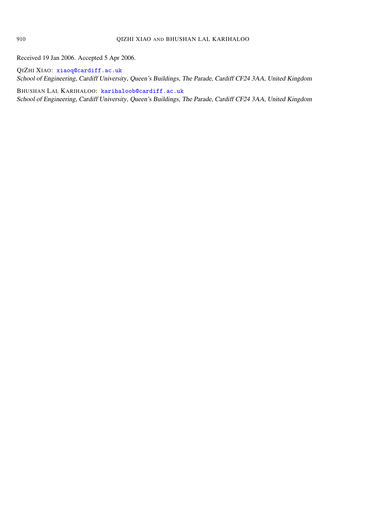Received 19 Jan 2006. Accepted 5 Apr 2006.

QIZHI XIAO: [xiaoq@cardiff.ac.uk](mailto:xiaoq@cardiff.ac.uk) School of Engineering, Cardiff University, Queen's Buildings, The Parade, Cardiff CF24 3AA, United Kingdom

BHUSHAN LAL KARIHALOO: [karihaloob@cardiff.ac.uk](mailto:karihaloob@cardiff.ac.uk) School of Engineering, Cardiff University, Queen's Buildings, The Parade, Cardiff CF24 3AA, United Kingdom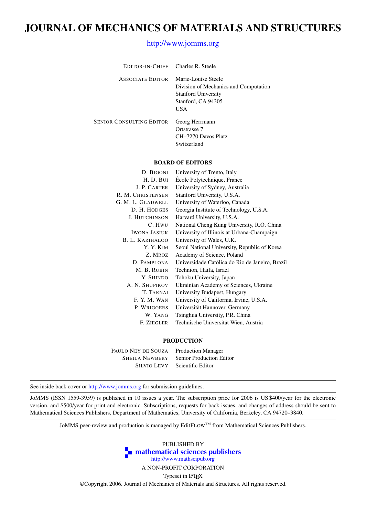### JOURNAL OF MECHANICS OF MATERIALS AND STRUCTURES

#### <http://www.jomms.org>

| EDITOR-IN-CHIEF Charles R. Steele |                                                                                                                         |
|-----------------------------------|-------------------------------------------------------------------------------------------------------------------------|
| <b>ASSOCIATE EDITOR</b>           | Marie-Louise Steele<br>Division of Mechanics and Computation<br><b>Stanford University</b><br>Stanford, CA 94305<br>USA |
| SENIOR CONSULTING EDITOR          | Georg Herrmann<br>Ortstrasse 7<br>CH-7270 Davos Platz<br>Switzerland                                                    |
|                                   |                                                                                                                         |

#### BOARD OF EDITORS

| D. BIGONI              | University of Trento, Italy                     |
|------------------------|-------------------------------------------------|
| H. D. BUI              | École Polytechnique, France                     |
| J. P. CARTER           | University of Sydney, Australia                 |
| R. M. CHRISTENSEN      | Stanford University, U.S.A.                     |
| G. M. L. GLADWELL      | University of Waterloo, Canada                  |
| D. H. HODGES           | Georgia Institute of Technology, U.S.A.         |
| <b>J. HUTCHINSON</b>   | Harvard University, U.S.A.                      |
| C. HWU                 | National Cheng Kung University, R.O. China      |
| <b>IWONA JASIUK</b>    | University of Illinois at Urbana-Champaign      |
| <b>B. L. KARIHALOO</b> | University of Wales, U.K.                       |
| Y. Y. KIM              | Seoul National University, Republic of Korea    |
| Z. Mroz                | Academy of Science, Poland                      |
| D. PAMPLONA            | Universidade Católica do Rio de Janeiro, Brazil |
| M. B. RUBIN            | Technion, Haifa, Israel                         |
| Y. SHINDO              | Tohoku University, Japan                        |
| A. N. SHUPIKOV         | Ukrainian Academy of Sciences, Ukraine          |
| T. TARNAI              | University Budapest, Hungary                    |
| F.Y.M.WAN              | University of California, Irvine, U.S.A.        |
| P. WRIGGERS            | Universität Hannover, Germany                   |
| W. YANG                | Tsinghua University, P.R. China                 |
| F. ZIEGLER             | Technische Universität Wien, Austria            |
|                        |                                                 |

#### PRODUCTION

| PAULO NEY DE SOUZA    | <b>Production Manager</b> |
|-----------------------|---------------------------|
| <b>SHEILA NEWBERY</b> | Senior Production Editor  |
| <b>SILVIO LEVY</b>    | Scientific Editor         |

See inside back cover or <http://www.jomms.org> for submission guidelines.

JoMMS (ISSN 1559-3959) is published in 10 issues a year. The subscription price for 2006 is US \$400/year for the electronic version, and \$500/year for print and electronic. Subscriptions, requests for back issues, and changes of address should be sent to Mathematical Sciences Publishers, Department of Mathematics, University of California, Berkeley, CA 94720–3840.

JoMMS peer-review and production is managed by EditFLOW™ from Mathematical Sciences Publishers.



A NON-PROFIT CORPORATION

Typeset in LATEX

©Copyright 2006. Journal of Mechanics of Materials and Structures. All rights reserved.